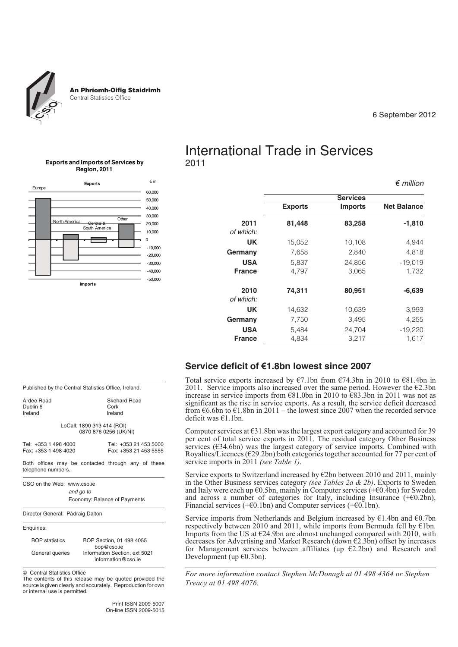

An Phríomh-Oifig Staidrimh Central Statistics Office

### 6 September 2012

*€ million*

### **Exports and Imports of Services by Region, 2011**



# International Trade in Services 2011

|                   |                |                 | $\epsilon$ <i>ummon</i> |
|-------------------|----------------|-----------------|-------------------------|
|                   |                | <b>Services</b> |                         |
|                   | <b>Exports</b> | <b>Imports</b>  | <b>Net Balance</b>      |
| 2011              | 81,448         | 83,258          | $-1,810$                |
| of which:         |                |                 |                         |
| UK                | 15,052         | 10,108          | 4,944                   |
| Germany           | 7,658          | 2,840           | 4,818                   |
| <b>USA</b>        | 5,837          | 24,856          | $-19,019$               |
| <b>France</b>     | 4,797          | 3,065           | 1,732                   |
| 2010<br>of which: | 74,311         | 80,951          | $-6,639$                |
| UK                | 14,632         | 10,639          | 3,993                   |
| Germany           | 7,750          | 3.495           | 4,255                   |
| <b>USA</b>        | 5,484          | 24,704          | $-19,220$               |
| <b>France</b>     | 4,834          | 3,217           | 1,617                   |

### **Service deficit of €1.8bn lowest since 2007**

Total service exports increased by  $\epsilon$ 7.1bn from  $\epsilon$ 74.3bn in 2010 to  $\epsilon$ 81.4bn in 2011. Service imports also increased over the same period. However the €2.3bn increase in service imports from €81.0bn in 2010 to €83.3bn in 2011 was not as significant as the rise in service exports. As a result, the service deficit decreased from  $\epsilon$ 6.6bn to  $\epsilon$ 1.8bn in 2011 – the lowest since 2007 when the recorded service deficit was €1.1bn.

Computer services at  $631.8$ bn was the largest export category and accounted for 39 per cent of total service exports in 2011. The residual category Other Business services (€34.6bn) was the largest category of service imports. Combined with Royalties/Licences ( $\epsilon$ 29.2bn) both categories together accounted for 77 per cent of service imports in 2011 *(see Table 1)*.

Service exports to Switzerland increased by €2bn between 2010 and 2011, mainly in the Other Business services category *(see Tables 2a & 2b)*. Exports to Sweden and Italy were each up  $\epsilon$ 0.5bn, mainly in Computer services (+ $\epsilon$ 0.4bn) for Sweden and across a number of categories for Italy, including Insurance  $(+60.2bn)$ , Financial services ( $+ \epsilon$ 0.1bn) and Computer services ( $+ \epsilon$ 0.1bn).

Service imports from Netherlands and Belgium increased by  $\epsilon$ 1.4bn and  $\epsilon$ 0.7bn respectively between 2010 and 2011, while imports from Bermuda fell by  $\epsilon$ 1bn. Imports from the US at  $\epsilon$ 24.9bn are almost unchanged compared with 2010, with decreases for Advertising and Market Research (down  $\epsilon$ 2.3bn) offset by increases for Management services between affiliates (up  $E(2.2bn)$  and Research and Development (up  $€0.3bn$ ).

*For more information contact Stephen McDonagh at 01 498 4364 or Stephen Treacy at 01 498 4076.*

| Published by the Central Statistics Office, Ireland. |  |  |  |
|------------------------------------------------------|--|--|--|
|                                                      |  |  |  |

Ardee Road<br>Dublin 6  $D<sub>U</sub>$ blin 6 Ireland Ireland

LoCall: 1890 313 414 (ROI) 0870 876 0256 (UK/NI)

| Tel: +353 1 498 4000 |  |  | Tel: +353 21 453 5000 |  |  |
|----------------------|--|--|-----------------------|--|--|
| Fax: +353 1 498 4020 |  |  | Fax: +353 21 453 5555 |  |  |

Both offices may be contacted through any of these telephone numbers.

CSO on the Web: www.cso.ie *and go to*

Economy: Balance of Payments

Director General: Pádraig Dalton



BOP statistics BOP Section, 01 498 4055 bop@cso.ie General queries Information Section, ext 5021 information@cso.ie

 $©$  Central Statistics Office

The contents of this release may be quoted provided the source is given clearly and accurately. Reproduction for own or internal use is permitted.

> Print ISSN 2009-5007 On-line ISSN 2009-5015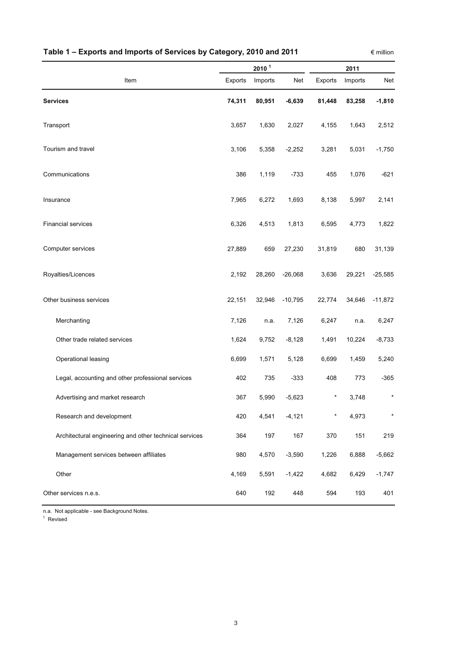|                                                        |         | 2010 <sup>1</sup> |           | 2011       |         |           |  |  |
|--------------------------------------------------------|---------|-------------------|-----------|------------|---------|-----------|--|--|
| Item                                                   | Exports | Imports           | Net       | Exports    | Imports | Net       |  |  |
| <b>Services</b>                                        | 74,311  | 80,951            | $-6,639$  | 81,448     | 83,258  | $-1,810$  |  |  |
| Transport                                              | 3,657   | 1,630             | 2,027     | 4,155      | 1,643   | 2,512     |  |  |
| Tourism and travel                                     | 3,106   | 5,358             | $-2,252$  | 3,281      | 5,031   | $-1,750$  |  |  |
| Communications                                         | 386     | 1,119             | $-733$    | 455        | 1,076   | $-621$    |  |  |
| Insurance                                              | 7,965   | 6,272             | 1,693     | 8,138      | 5,997   | 2,141     |  |  |
| <b>Financial services</b>                              | 6,326   | 4,513             | 1,813     | 6,595      | 4,773   | 1,822     |  |  |
| Computer services                                      | 27,889  | 659               | 27,230    | 31,819     | 680     | 31,139    |  |  |
| Royalties/Licences                                     | 2,192   | 28,260            | $-26,068$ | 3,636      | 29,221  | $-25,585$ |  |  |
| Other business services                                | 22,151  | 32,946            | $-10,795$ | 22,774     | 34,646  | $-11,872$ |  |  |
| Merchanting                                            | 7,126   | n.a.              | 7,126     | 6,247      | n.a.    | 6,247     |  |  |
| Other trade related services                           | 1,624   | 9,752             | $-8,128$  | 1,491      | 10,224  | $-8,733$  |  |  |
| Operational leasing                                    | 6,699   | 1,571             | 5,128     | 6,699      | 1,459   | 5,240     |  |  |
| Legal, accounting and other professional services      | 402     | 735               | $-333$    | 408        | 773     | $-365$    |  |  |
| Advertising and market research                        | 367     | 5,990             | $-5,623$  | $^{\star}$ | 3,748   | $\ast$    |  |  |
| Research and development                               | 420     | 4,541             | $-4,121$  | $^\star$   | 4,973   | $\star$   |  |  |
| Architectural engineering and other technical services | 364     | 197               | 167       | 370        | 151     | 219       |  |  |
| Management services between affiliates                 | 980     | 4,570             | $-3,590$  | 1,226      | 6,888   | $-5,662$  |  |  |
| Other                                                  | 4,169   | 5,591             | $-1,422$  | 4,682      | 6,429   | $-1,747$  |  |  |
| Other services n.e.s.                                  | 640     | 192               | 448       | 594        | 193     | 401       |  |  |

## **Table 1 – Exports and Imports of Services by Category, 2010 and 2011**

 $∈$  million

n.a. Not applicable - see Background Notes.

<sup>1</sup> Revised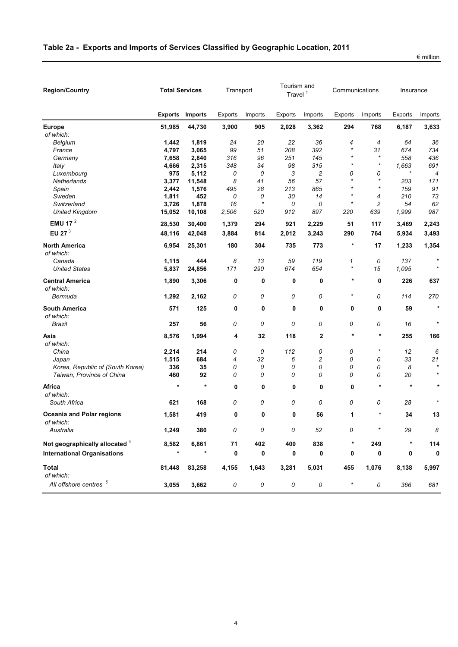| <b>Region/Country</b>                         | <b>Total Services</b> |                |            | Transport |            | Tourism and<br>Travel <sup>1</sup> | Communications |            | Insurance      |                |
|-----------------------------------------------|-----------------------|----------------|------------|-----------|------------|------------------------------------|----------------|------------|----------------|----------------|
|                                               | <b>Exports</b>        | <b>Imports</b> | Exports    | Imports   | Exports    | Imports                            | Exports        | Imports    | <b>Exports</b> | Imports        |
| <b>Europe</b>                                 | 51,985                | 44,730         | 3,900      | 905       | 2,028      | 3,362                              | 294            | 768        | 6,187          | 3,633          |
| of which:<br>Belgium                          | 1,442                 | 1,819          | 24         | 20        | 22         | 36                                 | 4              | 4          | 64             | 36             |
| France                                        | 4,797                 | 3,065          | 99         | 51        | 208        | 392                                | $\star$        | 31         | 674            | 734            |
| Germany                                       | 7,658                 | 2,840          | 316        | 96        | 251        | 145                                | $\star$        | $\star$    | 558            | 436            |
| Italy                                         | 4,666                 | 2,315          | 348        | 34        | 98         | 315                                | $\star$        | $\star$    | 1,663          | 691            |
| Luxembourg                                    | 975                   | 5,112          | 0          | 0         | 3          | $\overline{c}$                     | 0              | 0          | $\star$        | $\overline{4}$ |
| Netherlands                                   | 3,377                 | 11,548         | 8          | 41        | 56         | 57                                 | $\star$        | $\star$    | 203            | 171            |
| Spain                                         | 2,442                 | 1,576          | 495        | 28        | 213        | 865                                | $\star$        | $\star$    | 159            | 91             |
| Sweden                                        | 1,811                 | 452            | 0          | 0         | 30         | 14                                 | $\star$        | 4          | 210            | 73             |
| Switzerland                                   | 3,726                 | 1,878          | 16         | $\star$   | 0          | 0                                  | $\star$        | 2          | 54             | 62             |
| <b>United Kingdom</b>                         | 15,052                | 10,108         | 2,506      | 520       | 912        | 897                                | 220            | 639        | 1,999          | 987            |
| EMU 17 $^2$                                   | 28,530                | 30,400         | 1,379      | 294       | 921        | 2,229                              | 51             | 117        | 3,469          | 2,243          |
| EU 27 <sup>3</sup>                            | 48,116                | 42,048         | 3,884      | 814       | 2,012      | 3,243                              | 290            | 764        | 5,934          | 3,493          |
| <b>North America</b><br>of which:             | 6,954                 | 25,301         | 180        | 304       | 735        | 773                                | $^{\ast}$      | 17         | 1,233          | 1,354          |
| Canada                                        | 1,115                 | 444            | 8          | 13        | 59         | 119                                | 1              | 0          | 137            |                |
| <b>United States</b>                          | 5,837                 | 24,856         | 171        | 290       | 674        | 654                                | $^\star$       | 15         | 1,095          | $\star$        |
| <b>Central America</b><br>of which:           | 1,890                 | 3,306          | 0          | 0         | 0          | 0                                  | $\ast$         | 0          | 226            | 637            |
| Bermuda                                       | 1,292                 | 2,162          | 0          | 0         | 0          | 0                                  | $\star$        | 0          | 114            | 270            |
| <b>South America</b><br>of which:             | 571                   | 125            | 0          | 0         | 0          | 0                                  | 0              | 0          | 59             | $\star$        |
| Brazil                                        | 257                   | 56             | 0          | 0         | 0          | 0                                  | 0              | 0          | 16             | $\star$        |
| Asia<br>of which:                             | 8,576                 | 1,994          | 4          | 32        | 118        | 2                                  | $\star$        | *          | 255            | 166            |
| China                                         | 2,214                 | 214            | 0          | 0         | 112        | 0                                  | 0              | $\star$    | 12             | 6              |
| Japan                                         | 1,515                 | 684            | 4          | 32        | 6          | 2                                  | 0              | 0          | 33             | 21             |
| Korea, Republic of (South Korea)              | 336                   | 35             | 0          | 0         | 0          | 0                                  | 0              | 0          | 8              |                |
| Taiwan, Province of China                     | 460                   | 92             | 0          | 0         | 0          | 0                                  | 0              | 0          | 20             | $\star$        |
| Africa<br>of which:                           | $\star$               | $\ast$         | 0          | 0         | 0          | 0                                  | 0              | $\star$    | $\star$        | $\star$        |
| South Africa                                  | 621                   | 168            | 0          | 0         | 0          | 0                                  | 0              | 0          | 28             |                |
| <b>Oceania and Polar regions</b><br>of which: | 1,581                 | 419            | 0          | 0         | 0          | 56                                 | 1              | $\star$    | 34             | 13             |
| Australia                                     | 1,249                 | 380            | 0          | 0         | 0          | 52                                 | 0              |            | 29             | 8              |
| Not geographically allocated 4                | 8,582                 | 6,861          | $71$       | 402       | 400        | 838                                | $^{\ast}$      | 249        |                | 114            |
| <b>International Organisations</b>            | $\star$               |                | 0          | 0         | 0          | 0                                  | 0              | 0          | 0              | 0              |
| <b>Total</b><br>of which:                     | 81,448                | 83,258         | 4,155      | 1,643     | 3,281      | 5,031                              | 455            | 1,076      | 8,138          | 5,997          |
| All offshore centres <sup>5</sup>             | 3,055                 | 3,662          | ${\cal O}$ | 0         | ${\cal O}$ | 0                                  | $\star$        | ${\cal O}$ | 366            | 681            |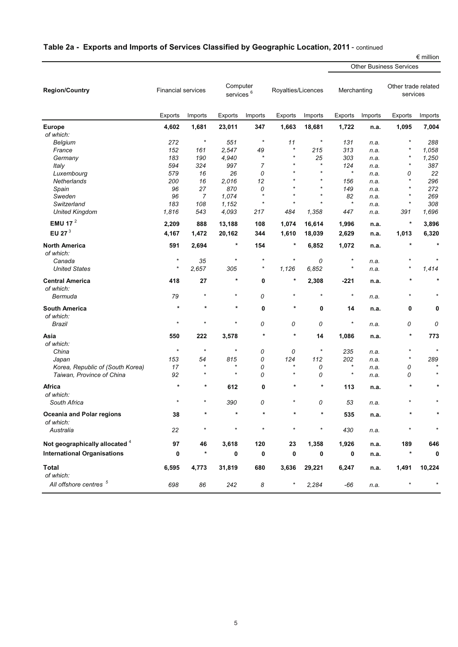|                                    |         |                           |         |                                   |            |                    |             |                                |                                 | $\epsilon$ million |  |  |  |  |
|------------------------------------|---------|---------------------------|---------|-----------------------------------|------------|--------------------|-------------|--------------------------------|---------------------------------|--------------------|--|--|--|--|
|                                    |         |                           |         |                                   |            |                    |             | <b>Other Business Services</b> |                                 |                    |  |  |  |  |
| <b>Region/Country</b>              |         | <b>Financial services</b> |         | Computer<br>services <sup>6</sup> |            | Royalties/Licences | Merchanting |                                | Other trade related<br>services |                    |  |  |  |  |
|                                    | Exports | Imports                   | Exports | Imports                           | Exports    | Imports            | Exports     | Imports                        | Exports                         | Imports            |  |  |  |  |
| <b>Europe</b>                      | 4,602   | 1,681                     | 23,011  | 347                               | 1,663      | 18,681             | 1,722       | n.a.                           | 1,095                           | 7,004              |  |  |  |  |
| of which:                          |         |                           |         |                                   |            |                    |             |                                |                                 |                    |  |  |  |  |
| Belgium                            | 272     | $\ast$                    | 551     | $\star$                           | 11         | $\ast$             | 131         | n.a.                           | $^{\star}$                      | 288                |  |  |  |  |
| France                             | 152     | 161                       | 2,547   | 49                                | $\star$    | 215                | 313         | n.a.                           | $\ast$                          | 1,058              |  |  |  |  |
| Germany                            | 183     | 190                       | 4,940   | $\star$                           | $\star$    | 25                 | 303         | n.a.                           | $\ast$                          | 1,250              |  |  |  |  |
| Italy                              | 594     | 324                       | 997     | $\overline{7}$                    | $\star$    | $\star$            | 124         | n.a.                           | $\star$                         | 387                |  |  |  |  |
|                                    |         |                           |         |                                   |            | $\star$            | $\star$     |                                |                                 |                    |  |  |  |  |
| Luxembourg                         | 579     | 16                        | 26      | 0                                 | $\star$    | $\star$            |             | n.a.                           | 0<br>$^{\star}$                 | 22                 |  |  |  |  |
| Netherlands                        | 200     | 16                        | 2,016   | 12                                |            |                    | 156         | n.a.                           |                                 | 296                |  |  |  |  |
| Spain                              | 96      | 27                        | 870     | 0                                 | $\star$    | $\star$            | 149         | n.a.                           | $\star$                         | 272                |  |  |  |  |
| Sweden                             | 96      | $\overline{7}$            | 1,074   | $\star$                           |            |                    | 82          | n.a.                           | *                               | 269                |  |  |  |  |
| Switzerland                        | 183     | 108                       | 1,152   | $\star$                           | $\star$    | $\star$            | $\star$     | n.a.                           | $^\star$                        | 308                |  |  |  |  |
| <b>United Kingdom</b>              | 1,816   | 543                       | 4,093   | 217                               | 484        | 1,358              | 447         | n.a.                           | 391                             | 1,696              |  |  |  |  |
| EMU 17 <sup>2</sup>                | 2,209   | 888                       | 13,188  | 108                               | 1,074      | 16,614             | 1,996       | n.a.                           | $\ast$                          | 3,896              |  |  |  |  |
| EU 27 $3$                          | 4,167   | 1,472                     | 20,162  | 344                               | 1,610      | 18,039             | 2,629       | n.a.                           | 1,013                           | 6,320              |  |  |  |  |
| <b>North America</b>               | 591     | 2,694                     | *       | 154                               | $\ast$     | 6,852              | 1,072       | n.a.                           | $\star$                         | $\ast$             |  |  |  |  |
| of which:                          |         |                           |         |                                   |            |                    |             |                                |                                 |                    |  |  |  |  |
| Canada                             | $\star$ | 35                        | $\star$ | $\ast$                            | $\star$    | 0                  | $^\star$    | n.a.                           |                                 |                    |  |  |  |  |
| <b>United States</b>               | $\star$ | 2,657                     | 305     | $\ast$                            | 1,126      | 6,852              | $^\star$    | n.a.                           | $\star$                         | 1,414              |  |  |  |  |
| <b>Central America</b>             | 418     | 27                        | *       | 0                                 | $\star$    | 2,308              | -221        | n.a.                           | $\ast$                          | $\pmb{\ast}$       |  |  |  |  |
| of which:                          |         | $\ast$                    | $\star$ |                                   | $\star$    | $\star$            | $^{\star}$  |                                | *                               |                    |  |  |  |  |
| Bermuda                            | 79      |                           |         | 0                                 |            |                    |             | n.a.                           |                                 |                    |  |  |  |  |
| <b>South America</b>               | $\star$ | $\star$                   | *       | 0                                 | $\star$    | 0                  | 14          | n.a.                           | 0                               | 0                  |  |  |  |  |
| of which:                          |         |                           |         |                                   |            |                    |             |                                |                                 |                    |  |  |  |  |
| Brazil                             | $\star$ | $\star$                   | $\star$ | 0                                 | 0          | 0                  | $^{\star}$  | n.a.                           | 0                               | 0                  |  |  |  |  |
| Asia                               | 550     | 222                       | 3,578   | $\star$                           | $\star$    | 14                 | 1,086       | n.a.                           | $\ast$                          | 773                |  |  |  |  |
| of which:                          |         |                           |         |                                   |            |                    |             |                                |                                 |                    |  |  |  |  |
| China                              | $\star$ | $\star$                   | $\star$ | 0                                 | 0          | $\star$            | 235         | n.a.                           | $^\star$                        | $\star$            |  |  |  |  |
| Japan                              | 153     | 54                        | 815     | 0                                 | 124        | 112                | 202         | n.a.                           | $^\star$                        | 289                |  |  |  |  |
| Korea, Republic of (South Korea)   | 17      |                           |         | 0                                 | $\star$    | 0                  | $^\star$    | n.a.                           | 0                               |                    |  |  |  |  |
| Taiwan, Province of China          | 92      | $\ast$                    | $\star$ | 0                                 | $\star$    | 0                  | $\star$     | n.a.                           | 0                               |                    |  |  |  |  |
| Africa                             | $\star$ | *                         | 612     | 0                                 | $\star$    | $^\ast$            | 113         | n.a.                           | $\star$                         | *                  |  |  |  |  |
| of which:                          |         |                           |         |                                   |            |                    |             |                                |                                 |                    |  |  |  |  |
| South Africa                       | $\star$ | $^\star$                  | 390     | 0                                 |            | 0                  | 53          | n.a.                           |                                 |                    |  |  |  |  |
| <b>Oceania and Polar regions</b>   | 38      | *                         | $\star$ | $\star$                           | $\star$    | $\star$            | 535         | n.a.                           |                                 |                    |  |  |  |  |
| of which:                          |         |                           |         |                                   |            |                    |             |                                |                                 |                    |  |  |  |  |
| Australia                          | 22      | $\star$                   | $\star$ | $\star$                           | $\star$    | $\star$            | 430         | n.a.                           | $^{\star}$                      | $\star$            |  |  |  |  |
| Not geographically allocated 4     | 97      | 46                        | 3,618   | 120                               | 23         | 1,358              | 1,926       | n.a.                           | 189                             | 646                |  |  |  |  |
| <b>International Organisations</b> | 0       | $\star$                   | 0       | 0                                 | 0          | 0                  | 0           | n.a.                           | *                               | 0                  |  |  |  |  |
| <b>Total</b>                       | 6,595   | 4,773                     | 31,819  | 680                               | 3,636      | 29,221             | 6,247       | n.a.                           | 1,491                           | 10,224             |  |  |  |  |
| of which:                          |         |                           |         |                                   |            |                    |             |                                |                                 |                    |  |  |  |  |
| All offshore centres <sup>5</sup>  | 698     | 86                        | 242     | 8                                 | $^{\star}$ | 2,284              | -66         | n.a.                           | *                               | $\star$            |  |  |  |  |

## **Table 2a - Exports and Imports of Services Classified by Geographic Location, 2011** - continued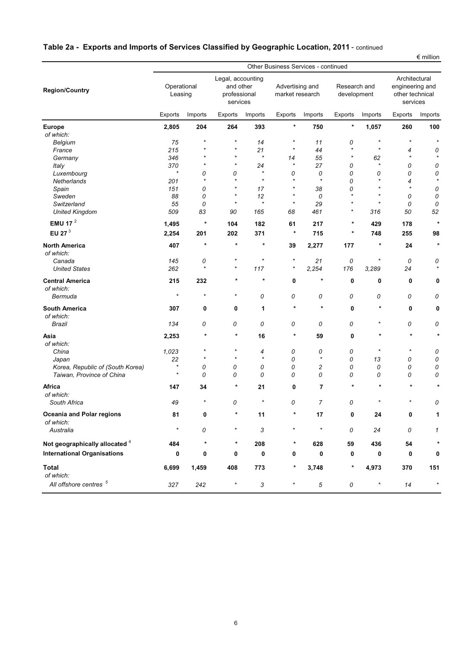|                                                                      | $\epsilon$ million<br>Other Business Services - continued |          |          |                                                            |         |                                    |                          |                             |              |                                                                 |  |  |  |
|----------------------------------------------------------------------|-----------------------------------------------------------|----------|----------|------------------------------------------------------------|---------|------------------------------------|--------------------------|-----------------------------|--------------|-----------------------------------------------------------------|--|--|--|
| <b>Region/Country</b>                                                | Operational<br>Leasing                                    |          |          | Legal, accounting<br>and other<br>professional<br>services |         | Advertising and<br>market research |                          | Research and<br>development |              | Architectural<br>engineering and<br>other technical<br>services |  |  |  |
|                                                                      | Exports                                                   | Imports  | Exports  | Imports                                                    | Exports | Imports                            | <b>Exports</b>           | Imports                     | Exports      | Imports                                                         |  |  |  |
| <b>Europe</b>                                                        | 2,805                                                     | 204      | 264      | 393                                                        | $\ast$  | 750                                | $^{\tiny{\text{}}\star}$ | 1,057                       | 260          | 100                                                             |  |  |  |
| of which:                                                            |                                                           |          |          |                                                            |         |                                    |                          |                             |              |                                                                 |  |  |  |
| Belgium                                                              | 75                                                        | $\star$  | $\star$  | 14                                                         | $\star$ | 11                                 | 0                        | $\star$                     | $\star$      | $\star$                                                         |  |  |  |
| France                                                               | 215                                                       |          | $\star$  | 21                                                         | $\star$ | 44                                 | $\star$                  | $\star$                     | 4            | 0                                                               |  |  |  |
| Germany                                                              | 346                                                       |          | $\star$  | $\star$                                                    | 14      | 55                                 | $\star$                  | 62                          | $\star$      | $\star$                                                         |  |  |  |
| Italy                                                                | 370                                                       |          | $\star$  | 24                                                         | $\star$ | 27                                 | 0                        | $\star$                     | 0            | 0                                                               |  |  |  |
| Luxembourg                                                           | $\star$                                                   | 0        | 0        | $\star$                                                    | 0       | 0                                  | 0                        | 0                           | 0            | 0                                                               |  |  |  |
| Netherlands                                                          | 201                                                       | $\star$  | $\star$  | $\star$                                                    | $\star$ | $\star$                            | 0                        | $\star$                     | 4            | $\star$                                                         |  |  |  |
| Spain                                                                | 151                                                       | 0        | $\star$  | 17                                                         | $\star$ | 38                                 | 0                        | $\star$                     | $\star$      | 0                                                               |  |  |  |
| Sweden                                                               |                                                           |          | $\star$  | 12                                                         | $\star$ | 0                                  | $\star$                  | $\star$                     | 0            |                                                                 |  |  |  |
|                                                                      | 88                                                        | 0        | $\star$  | $\star$                                                    | $\star$ |                                    | $\star$                  | $\star$                     |              | 0                                                               |  |  |  |
| Switzerland                                                          | 55                                                        | 0        |          |                                                            |         | 29                                 | $\star$                  |                             | 0            | 0                                                               |  |  |  |
| <b>United Kingdom</b>                                                | 509                                                       | 83       | 90       | 165                                                        | 68      | 461                                |                          | 316                         | 50           | 52                                                              |  |  |  |
| EMU 17 $^2$                                                          | 1,495                                                     | $\ast$   | 104      | 182                                                        | 61      | 217                                | *                        | 429                         | 178          | $\star$                                                         |  |  |  |
| EU 27 <sup>3</sup>                                                   | 2,254                                                     | 201      | 202      | 371                                                        | $\ast$  | 715                                | *                        | 748                         | 255          | 98                                                              |  |  |  |
| <b>North America</b>                                                 | 407                                                       | $\star$  | $\star$  | $\star$                                                    | 39      | 2,277                              | 177                      | $\ast$                      | 24           | $\star$                                                         |  |  |  |
| of which:                                                            |                                                           |          |          |                                                            |         |                                    |                          |                             |              |                                                                 |  |  |  |
| Canada                                                               | 145                                                       | 0        | $\ast$   | $\star$                                                    | $\star$ | 21                                 | 0                        | *                           | 0            | 0                                                               |  |  |  |
| <b>United States</b>                                                 | 262                                                       | $\star$  | $\ast$   | 117                                                        | $\star$ | 2,254                              | 176                      | 3,289                       | 24           | $\star$                                                         |  |  |  |
| <b>Central America</b>                                               | 215                                                       | 232      | *        | *                                                          | 0       | $^\star$                           | 0                        | 0                           | 0            | 0                                                               |  |  |  |
| of which:                                                            |                                                           |          |          |                                                            |         |                                    |                          |                             |              |                                                                 |  |  |  |
| Bermuda                                                              | $\star$                                                   | $^\star$ | $\star$  | 0                                                          | 0       | 0                                  | 0                        | 0                           | 0            | 0                                                               |  |  |  |
| <b>South America</b>                                                 | 307                                                       | 0        | 0        | 1                                                          | $\star$ | $\ast$                             | 0                        | $\ast$                      | 0            | 0                                                               |  |  |  |
| of which:                                                            |                                                           |          |          |                                                            |         |                                    |                          |                             |              |                                                                 |  |  |  |
| Brazil                                                               | 134                                                       | 0        | 0        | 0                                                          | 0       | 0                                  | 0                        | $\star$                     | 0            | 0                                                               |  |  |  |
| Asia                                                                 | 2,253                                                     | $^\star$ | *        | 16                                                         | $\ast$  | 59                                 | 0                        | $\ast$                      | $\star$      | $\star$                                                         |  |  |  |
| of which:                                                            |                                                           |          |          |                                                            |         |                                    |                          |                             |              |                                                                 |  |  |  |
| China                                                                | 1,023                                                     | $\star$  | $\star$  | 4                                                          | 0       | 0                                  | 0                        | $^{\star}$                  | $\star$      | 0                                                               |  |  |  |
| Japan                                                                | 22                                                        | $\star$  | $\star$  | $\star$                                                    | 0       | $\star$                            | 0                        | 13                          | 0            | 0                                                               |  |  |  |
| Korea, Republic of (South Korea)                                     | $\star$                                                   | 0        | 0        | 0                                                          | 0       | $\overline{\mathbf{c}}$            | 0                        | 0                           | 0            | 0                                                               |  |  |  |
| Taiwan, Province of China                                            | $\star$                                                   | 0        | 0        | 0                                                          | 0       | 0                                  | 0                        | 0                           | 0            | 0                                                               |  |  |  |
| Africa                                                               | 147                                                       | 34       | *        | 21                                                         | 0       | 7                                  | $\ast$                   | $\star$                     | $\pmb{\ast}$ | $\ast$                                                          |  |  |  |
| of which:                                                            |                                                           |          |          |                                                            |         |                                    |                          |                             |              |                                                                 |  |  |  |
| South Africa                                                         | 49                                                        |          | 0        | $\star$                                                    | 0       | 7                                  | 0                        | $\star$                     |              | 0                                                               |  |  |  |
| <b>Oceania and Polar regions</b>                                     | 81                                                        | 0        | $\star$  | 11                                                         | $\star$ | 17                                 | 0                        | 24                          | 0            | 1                                                               |  |  |  |
| of which:                                                            |                                                           |          |          |                                                            |         |                                    |                          |                             |              |                                                                 |  |  |  |
| Australia                                                            | $\star$                                                   | 0        | $\star$  | 3                                                          | $\star$ | $\star$                            | 0                        | 24                          | 0            | $\mathcal I$                                                    |  |  |  |
|                                                                      |                                                           |          | $^\star$ |                                                            |         |                                    |                          |                             |              | $\star$                                                         |  |  |  |
| Not geographically allocated 4<br><b>International Organisations</b> | 484                                                       |          |          | 208                                                        |         | 628                                | 59                       | 436                         | 54           |                                                                 |  |  |  |
|                                                                      | 0                                                         | 0        | 0        | 0                                                          | 0       | 0                                  | 0                        | 0                           | 0            | 0                                                               |  |  |  |
| <b>Total</b><br>of which:                                            | 6,699                                                     | 1,459    | 408      | 773                                                        |         | 3,748                              | *                        | 4,973                       | 370          | 151                                                             |  |  |  |
| All offshore centres <sup>5</sup>                                    | 327                                                       | 242      | $\star$  | 3                                                          | $\star$ | $\sqrt{5}$                         | 0                        | $\star$                     | 14           | $\star$                                                         |  |  |  |

## **Table 2a - Exports and Imports of Services Classified by Geographic Location, 2011** - continued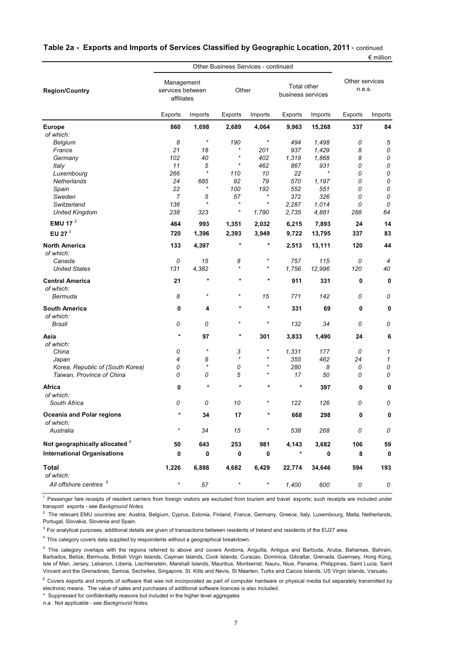|                                                                                                                                                                                                                                                                                                                                                                                                                |                                              |          | Other Business Services - continued |            |                                  |         |                          | --------    |
|----------------------------------------------------------------------------------------------------------------------------------------------------------------------------------------------------------------------------------------------------------------------------------------------------------------------------------------------------------------------------------------------------------------|----------------------------------------------|----------|-------------------------------------|------------|----------------------------------|---------|--------------------------|-------------|
| <b>Region/Country</b>                                                                                                                                                                                                                                                                                                                                                                                          | Management<br>services between<br>affiliates |          | Other                               |            | Total other<br>business services |         | Other services<br>n.e.s. |             |
| Belgium<br>France<br>Germany<br>Italy<br>Luxembourg<br>Netherlands<br>Spain<br>Sweden<br>Switzerland<br><b>United Kingdom</b><br>EMU 17 $^2$<br>EU 27 $3$<br>of which:<br>Canada<br><b>United States</b><br>of which:<br>Bermuda<br>of which:<br>Brazil<br>of which:<br>China<br>Japan<br>Korea, Republic of (South Korea)<br>Taiwan, Province of China<br>of which:<br>South Africa<br>of which:<br>Australia | Exports                                      | Imports  | Exports                             | Imports    | Exports                          | Imports | Exports                  | Imports     |
| <b>Europe</b>                                                                                                                                                                                                                                                                                                                                                                                                  | 860                                          | 1,698    | 2,689                               | 4,064      | 9,963                            | 15,268  | 337                      | 84          |
| of which:                                                                                                                                                                                                                                                                                                                                                                                                      |                                              |          |                                     |            |                                  |         |                          |             |
|                                                                                                                                                                                                                                                                                                                                                                                                                | 8                                            | $\star$  | 190                                 | $^{\star}$ | 494                              | 1,498   | 0                        | 5           |
|                                                                                                                                                                                                                                                                                                                                                                                                                | 21                                           | 18       | $\star$                             | 201        | 937                              | 1,429   | 8                        | 0           |
|                                                                                                                                                                                                                                                                                                                                                                                                                | 102                                          | 40       | $\ast$                              | 402        | 1,319                            | 1,868   | 8                        | 0           |
|                                                                                                                                                                                                                                                                                                                                                                                                                | 11                                           | 5        | $\ast$                              | 462        | 867                              | 931     | 0                        | ${\cal O}$  |
|                                                                                                                                                                                                                                                                                                                                                                                                                | 266                                          | $\star$  | 110                                 | 10         | 22                               | $\star$ | 0                        | 0           |
|                                                                                                                                                                                                                                                                                                                                                                                                                | 24                                           | 685      | 92                                  | 79         | 570                              | 1,197   | 0                        | ${\cal O}$  |
|                                                                                                                                                                                                                                                                                                                                                                                                                | 22                                           | $^\star$ | 100                                 | 192        | 552                              | 551     | 0                        | 0           |
|                                                                                                                                                                                                                                                                                                                                                                                                                | $\overline{7}$                               | 5        | 57                                  | $\star$    | 372                              | 326     | 0                        | 0           |
|                                                                                                                                                                                                                                                                                                                                                                                                                | 136                                          | $\star$  | $\star$                             | $\star$    | 2,287                            | 1.014   | 0                        | 0           |
|                                                                                                                                                                                                                                                                                                                                                                                                                | 238                                          | 323      | *                                   | 1,790      | 2,735                            | 4,881   | 288                      | 64          |
|                                                                                                                                                                                                                                                                                                                                                                                                                | 464                                          | 993      | 1,351                               | 2,032      | 6,215                            | 7,893   | 24                       | 14          |
|                                                                                                                                                                                                                                                                                                                                                                                                                | 720                                          | 1,396    | 2,393                               | 3,949      | 9,722                            | 13,795  | 337                      | 83          |
| <b>North America</b>                                                                                                                                                                                                                                                                                                                                                                                           | 133                                          | 4,397    | $\ast$                              | *          | 2,513                            | 13,111  | 120                      | 44          |
|                                                                                                                                                                                                                                                                                                                                                                                                                | 0                                            | 15       | 8                                   | *          | 757                              | 115     | 0                        | 4           |
|                                                                                                                                                                                                                                                                                                                                                                                                                | 131                                          | 4,382    | $\star$                             | $\star$    | 1,756                            | 12,996  | 120                      | 40          |
| <b>Central America</b>                                                                                                                                                                                                                                                                                                                                                                                         | 21                                           | $\star$  | $\star$                             | $\star$    | 911                              | 331     | 0                        | 0           |
|                                                                                                                                                                                                                                                                                                                                                                                                                | 8                                            | $\star$  | $\ast$                              | 15         | 771                              | 142     | 0                        | 0           |
| <b>South America</b>                                                                                                                                                                                                                                                                                                                                                                                           | 0                                            | 4        | $\star$                             | $\ast$     | 331                              | 69      | 0                        | 0           |
|                                                                                                                                                                                                                                                                                                                                                                                                                | 0                                            | 0        | $\star$                             | $\ast$     | 132                              | 34      | 0                        | 0           |
| Asia                                                                                                                                                                                                                                                                                                                                                                                                           | $\star$                                      | 97       | $\ast$                              | 301        | 3,833                            | 1,490   | 24                       | 6           |
|                                                                                                                                                                                                                                                                                                                                                                                                                | 0                                            | $\star$  | 3                                   | $^{\star}$ | 1,331                            | 177     | 0                        | 1           |
|                                                                                                                                                                                                                                                                                                                                                                                                                | 4                                            | 8        | $\star$                             | $\ast$     | 355                              | 462     | 24                       | 1           |
|                                                                                                                                                                                                                                                                                                                                                                                                                | 0                                            | $\star$  | 0                                   | $^\ast$    | 280                              | 8       | 0                        | 0           |
|                                                                                                                                                                                                                                                                                                                                                                                                                | 0                                            | 0        | 5                                   |            | 17                               | 50      | 0                        | 0           |
| Africa                                                                                                                                                                                                                                                                                                                                                                                                         | 0                                            | $\star$  | $\ast$                              | $\star$    | $\star$                          | 397     | 0                        | $\mathbf 0$ |
|                                                                                                                                                                                                                                                                                                                                                                                                                | 0                                            | 0        | 10                                  |            | 122                              | 126     | 0                        | 0           |
| <b>Oceania and Polar regions</b>                                                                                                                                                                                                                                                                                                                                                                               | *                                            | 34       | 17                                  | *          | 668                              | 298     | 0                        | 0           |
|                                                                                                                                                                                                                                                                                                                                                                                                                | $\star$                                      | 34       | 15                                  | $\star$    | 538                              | 268     | 0                        | 0           |
| Not geographically allocated 4                                                                                                                                                                                                                                                                                                                                                                                 | 50                                           | 643      | 253                                 | 981        | 4,143                            | 3,682   | 106                      | 59          |
| <b>International Organisations</b>                                                                                                                                                                                                                                                                                                                                                                             | 0                                            | 0        | 0                                   | 0          | $\ast$                           | 0       | 8                        | 0           |
| <b>Total</b><br>of which:                                                                                                                                                                                                                                                                                                                                                                                      | 1,226                                        | 6,888    | 4,682                               | 6,429      | 22,774                           | 34,646  | 594                      | 193         |
| All offshore centres <sup>5</sup>                                                                                                                                                                                                                                                                                                                                                                              | $^{\star}$                                   | 57       | $\star$                             | $^{\star}$ | 1,400                            | 600     | 0                        | 0           |
|                                                                                                                                                                                                                                                                                                                                                                                                                |                                              |          |                                     |            |                                  |         |                          |             |

### **Table 2a - Exports and Imports of Services Classified by Geographic Location, 2011** - continued

 $\epsilon$  million

<sup>1</sup> Passenger fare receipts of resident carriers from foreign visitors are excluded from tourism and travel exports; such receipts are included under transport exports - see *Background Notes.*

 $2$  The relevant EMU countries are: Austria, Belgium, Cyprus, Estonia, Finland, France, Germany, Greece, Italy, Luxembourg, Malta, Netherlands, Portugal, Slovakia, Slovenia and Spain.

 $3$  For analytical purposes, additional details are given of transactions between residents of Ireland and residents of the EU27 area.

 $4$  This category covers data supplied by respondents without a geographical breakdown.

<sup>5</sup> This category overlaps with the regions referred to above and covers Andorra, Anguilla, Antigua and Barbuda, Aruba, Bahamas, Bahrain, Barbados, Belize, Bermuda, British Virgin Islands, Cayman Islands, Cook Islands, Curacao, Dominica, Gibraltar, Grenada, Guernsey, Hong Kong, Isle of Man, Jersey, Lebanon, Liberia, Liechtenstein, Marshall Islands, Mauritius, Montserrat, Nauru, Niue, Panama, Philippines, Saint Lucia, Saint Vincent and the Grenadines, Samoa, Sechelles, Singapore, St. Kitts and Nevis, St Maarten, Turks and Caicos Islands, US Virgin Islands, Vanuatu.

 $6$  Covers exports and imports of software that was not incorporated as part of computer hardware or physical media but separately transmitted by electronic means. The value of sales and purchases of additional software licences is also included.

\* Suppressed for confidentiality reasons but included in the higher level aggregates

n.a. Not applicable - see *Background Notes.*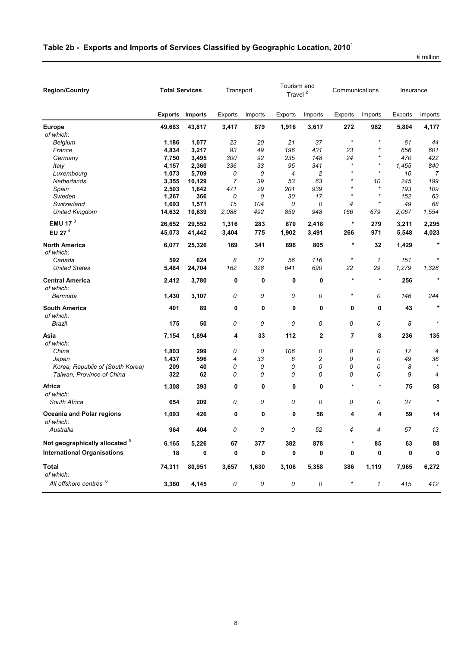| <b>Region/Country</b>                         | <b>Total Services</b> |                |           | Tourism and<br>Transport<br>Travel <sup>2</sup> |                |                | Communications |         | Insurance      |                |
|-----------------------------------------------|-----------------------|----------------|-----------|-------------------------------------------------|----------------|----------------|----------------|---------|----------------|----------------|
|                                               | <b>Exports</b>        | <b>Imports</b> | Exports   | Imports                                         | <b>Exports</b> | Imports        | Exports        | Imports | <b>Exports</b> | Imports        |
| <b>Europe</b><br>of which:                    | 49,683                | 43,817         | 3,417     | 879                                             | 1,916          | 3,617          | 272            | 982     | 5,804          | 4,177          |
| Belgium                                       | 1,186                 | 1,077          | 23        | 20                                              | 21             | 37             | $\star$        | $\star$ | 61             | 44             |
| France                                        | 4,834                 | 3,217          | 93        | 49                                              | 196            | 431            | 23             | $\star$ | 656            | 601            |
| Germany                                       | 7,750                 | 3,495          | 300       | 92                                              | 235            | 148            | 24             | $\star$ | 470            | 422            |
| Italy                                         | 4,157                 | 2,360          | 336       | 33                                              | 95             | 341            | $\star$        | $\star$ | 1,455          | 840            |
| Luxembourg                                    | 1,073                 | 5,709          | 0         | 0                                               | 4              | $\overline{c}$ | $\star$        | $\star$ | 10             | $\overline{7}$ |
| Netherlands                                   | 3,355                 | 10,129         | 7         | 39                                              | 53             | 63             | $\star$        | 10      | 245            | 199            |
| Spain                                         | 2,503                 | 1,642          | 471       | 29                                              | 201            | 939            | $\star$        | $\star$ | 193            | 109            |
| Sweden                                        | 1,267                 | 366            | 0         | 0                                               | 30             | 17             | $\star$        | $\star$ | 152            | 63             |
| Switzerland                                   | 1,693                 | 1,571          | 15        | 104                                             | 0              | 0              | 4              | $\star$ | 49             | 68             |
| <b>United Kingdom</b>                         | 14,632                | 10,639         | 2,088     | 492                                             | 859            | 948            | 166            | 679     | 2,067          | 1,554          |
| EMU 17 $3$                                    | 26,652                | 29,552         | 1,316     | 283                                             | 870            | 2,418          | $\ast$         | 279     | 3,211          | 2,295          |
| EU 27 <sup>4</sup>                            | 45,073                | 41,442         | 3,404     | 775                                             | 1,902          | 3,491          | 266            | 971     | 5,548          | 4,023          |
| <b>North America</b><br>of which:             | 6,077                 | 25,326         | 169       | 341                                             | 696            | 805            | $\star$        | 32      | 1,429          | $\star$        |
| Canada                                        | 592                   | 624            | 8         | 12                                              | 56             | 116            | $\ast$         | 1       | 151            |                |
| <b>United States</b>                          | 5,484                 | 24,704         | 162       | 328                                             | 641            | 690            | 22             | 29      | 1,279          | 1,328          |
| <b>Central America</b><br>of which:           | 2,412                 | 3,780          | 0         | 0                                               | 0              | $\mathbf 0$    | $\ast$         | $\star$ | 256            | $\star$        |
| Bermuda                                       | 1,430                 | 3,107          | 0         | 0                                               | 0              | 0              | $\star$        | 0       | 146            | 244            |
| <b>South America</b><br>of which:             | 401                   | 89             | 0         | 0                                               | 0              | 0              | 0              | 0       | 43             | $\star$        |
| Brazil                                        | 175                   | 50             | 0         | 0                                               | 0              | 0              | 0              | 0       | 8              |                |
| Asia<br>of which:                             | 7,154                 | 1,894          | 4         | 33                                              | 112            | 2              | 7              | 8       | 236            | 135            |
| China                                         | 1,803                 | 299            | 0         | 0                                               | 106            | 0              | 0              | 0       | 12             | 4              |
| Japan                                         | 1,437                 | 596            | 4         | 33                                              | 6              | 2              | 0              | 0       | 49             | 36             |
| Korea, Republic of (South Korea)              | 209                   | 40             | 0         | 0                                               | 0              | 0              | 0              | 0       | 8              |                |
| Taiwan, Province of China                     | 322                   | 62             | 0         | 0                                               | 0              | 0              | 0              | 0       | 9              | 4              |
| Africa<br>of which:                           | 1,308                 | 393            | 0         | 0                                               | 0              | 0              | $\star$        | $\star$ | 75             | 58             |
| South Africa                                  | 654                   | 209            | 0         | 0                                               | 0              | 0              | 0              | 0       | 37             |                |
| <b>Oceania and Polar regions</b><br>of which: | 1,093                 | 426            | 0         | 0                                               | 0              | 56             | 4              | 4       | 59             | 14             |
| Australia                                     | 964                   | 404            | 0         | 0                                               | 0              | 52             | 4              | 4       | 57             | $13\,$         |
| Not geographically allocated 5                | 6,165                 | 5,226          | 67        | 377                                             | 382            | 878            | $^{\ast}$      | 85      | 63             | 88             |
| <b>International Organisations</b>            | 18                    | 0              | $\pmb{0}$ | 0                                               | 0              | 0              | 0              | 0       | 0              | 0              |
| <b>Total</b><br>of which:                     | 74,311                | 80,951         | 3,657     | 1,630                                           | 3,106          | 5,358          | 386            | 1,119   | 7,965          | 6,272          |
| All offshore centres 6                        | 3,360                 | 4,145          | 0         | 0                                               | ${\cal O}$     | 0              | $\star$        | 1       | 415            | 412            |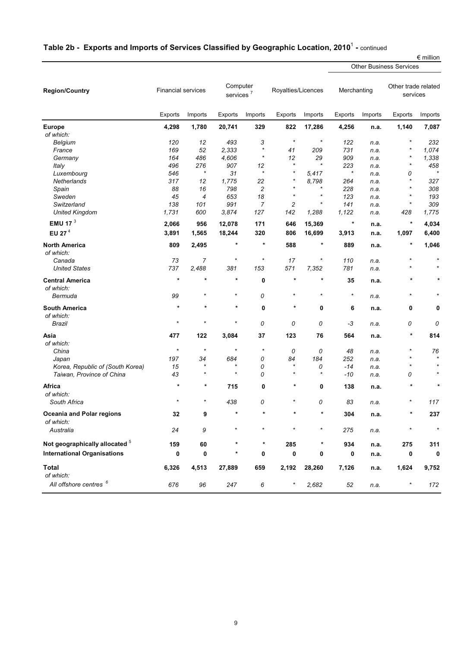# **Table 2b - Exports and Imports of Services Classified by Geographic Location, 2010**<sup>1</sup> **-** continued

|                                               |                           |                |                                   |                  |                    |              |                |         | <b>Other Business Services</b>  |         |
|-----------------------------------------------|---------------------------|----------------|-----------------------------------|------------------|--------------------|--------------|----------------|---------|---------------------------------|---------|
| <b>Region/Country</b>                         | <b>Financial services</b> |                | Computer<br>services <sup>7</sup> |                  | Royalties/Licences |              | Merchanting    |         | Other trade related<br>services |         |
|                                               | Exports                   | Imports        | Exports                           | Imports          | Exports            | Imports      | <b>Exports</b> | Imports | Exports                         | Imports |
| <b>Europe</b>                                 | 4,298                     | 1,780          | 20,741                            | 329              | 822                | 17,286       | 4,256          | n.a.    | 1,140                           | 7,087   |
| of which:                                     |                           |                |                                   |                  |                    |              |                |         |                                 |         |
| Belgium                                       | 120                       | 12             | 493                               | 3                | $\star$            | $\star$      | 122            | n.a.    | $\star$                         | 232     |
| France                                        | 169                       | 52             | 2,333                             | $\star$          | 41                 | 209          | 731            | n.a.    | $^{\star}$                      | 1,074   |
| Germany                                       | 164                       | 486            | 4,606                             | $\star$          | 12                 | 29           | 909            | n.a.    | *                               | 1,338   |
| Italy                                         | 496                       | 276            | 907                               | 12               | $\star$            | $\star$      | 223            | n.a.    | $\star$                         | 458     |
| Luxembourg                                    | 546                       | $\star$        | 31                                | $\star$          | $\star$            | 5,417        | $\star$        | n.a.    | 0                               | $\star$ |
| Netherlands                                   | 317                       | 12             | 1,775                             | 22               | $\star$            | 8,798        | 264            | n.a.    | $^\star$                        | 327     |
| Spain                                         | 88                        | 16             | 798                               | $\overline{c}$   |                    |              | 228            | n.a.    |                                 | 308     |
| Sweden                                        | 45                        | $\overline{4}$ | 653                               | 18               | $\star$            | $\star$      | 123            | n.a.    | $^{\star}$                      | 193     |
| Switzerland                                   | 138                       | 101            | 991                               | $\overline{7}$   | 2                  | $^\star$     | 141            | n.a.    | $\star$                         | 309     |
| <b>United Kingdom</b>                         | 1,731                     | 600            | 3,874                             | 127              | 142                | 1,288        | 1,122          | n.a.    | 428                             | 1,775   |
| EMU 17 $3$                                    | 2,066                     | 956            | 12,078                            | 171              | 646                | 15,369       | $\star$        | n.a.    | $\ast$                          | 4,034   |
| EU 27 <sup>4</sup>                            | 3,891                     | 1,565          | 18,244                            | 320              | 806                | 16,699       | 3,913          | n.a.    | 1,097                           | 6,400   |
| <b>North America</b>                          | 809                       | 2,495          | $\ast$                            | $\pmb{\ast}$     | 588                | $\ast$       | 889            | n.a.    | $\ast$                          | 1,046   |
| of which:                                     |                           |                |                                   |                  |                    |              |                |         |                                 |         |
| Canada                                        | 73                        | $\overline{7}$ | $\star$                           | $\star$          | 17                 | $\ast$       | 110            | n.a.    | $\star$                         | $\star$ |
| <b>United States</b>                          | 737                       | 2,488          | 381                               | 153              | 571                | 7,352        | 781            | n.a.    | $\star$                         |         |
| <b>Central America</b><br>of which:           | $\star$                   | $\star$        | $\star$                           | 0                | $\star$            | $\pmb{\ast}$ | 35             | n.a.    | $\star$                         | $\ast$  |
| Bermuda                                       | 99                        |                | *                                 | 0                | $\star$            | $\star$      | $\star$        | n.a.    | $^{\star}$                      |         |
| <b>South America</b>                          | $\star$                   | $\ast$         | $\star$                           | 0                | $^\star$           | 0            | 6              | n.a.    | 0                               | 0       |
| of which:<br>Brazil                           | $\star$                   | $\star$        | $\star$                           | 0                | 0                  | 0            | -3             | n.a.    | 0                               | 0       |
| Asia                                          | 477                       | 122            | 3,084                             | 37               | 123                | 76           | 564            | n.a.    | $\star$                         | 814     |
| of which:                                     |                           |                |                                   |                  |                    |              |                |         |                                 |         |
| China                                         | $\star$                   | $\star$        | $\star$                           | $\star$          | 0                  | 0            | 48             | n.a.    | *                               | 76      |
| Japan                                         | 197                       | 34             | 684                               | 0                | 84                 | 184          | 252            | n.a.    | $^\star$                        | $\star$ |
| Korea, Republic of (South Korea)              | 15                        | $\star$        | $\star$                           | 0                | $\star$            | 0            | $-14$          | n.a.    | $\star$                         |         |
| Taiwan, Province of China                     | 43                        | $\star$        | $\star$                           | 0                | $\star$            | $\star$      | -10            | n.a.    | 0                               |         |
| Africa<br>of which:                           | $\star$                   | *              | 715                               | 0                | *                  | 0            | 138            | n.a.    |                                 |         |
| South Africa                                  | $\star$                   | $\star$        | 438                               | 0                | ×                  | 0            | 83             | n.a.    |                                 | 117     |
| <b>Oceania and Polar regions</b><br>of which: | 32                        | 9              |                                   | *                | *                  | $\star$      | 304            | n.a.    |                                 | 237     |
| Australia                                     | 24                        | 9              |                                   | $\star$          | $\star$            | $\star$      | 275            | n.a.    | $\star$                         | $\star$ |
| Not geographically allocated 5                | 159                       | 60             |                                   | *                | 285                |              | 934            | n.a.    | 275                             | 311     |
| <b>International Organisations</b>            | 0                         | 0              |                                   | 0                | 0                  | 0            | 0              | n.a.    | 0                               | 0       |
| <b>Total</b><br>of which:                     | 6,326                     | 4,513          | 27,889                            | 659              | 2,192              | 28,260       | 7,126          | n.a.    | 1,624                           | 9,752   |
| All offshore centres <sup>6</sup>             | 676                       | 96             | 247                               | $\boldsymbol{6}$ | $\ast$             | 2,682        | 52             | n.a.    | *                               | 172     |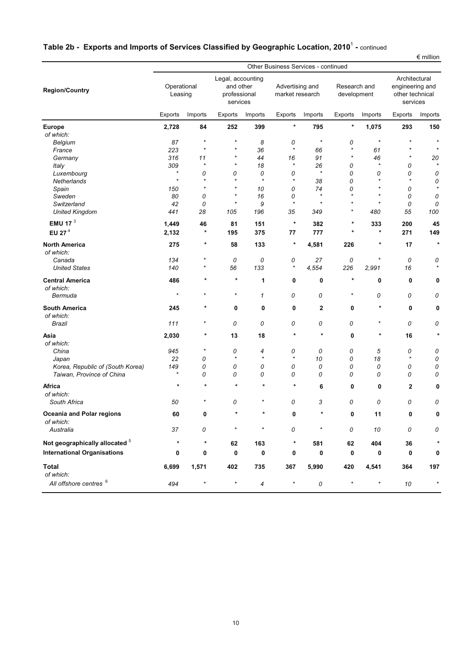|                                               | $\epsilon$ million<br>Other Business Services - continued |          |              |                                                            |              |                                    |           |                             |              |                                                                 |  |  |  |
|-----------------------------------------------|-----------------------------------------------------------|----------|--------------|------------------------------------------------------------|--------------|------------------------------------|-----------|-----------------------------|--------------|-----------------------------------------------------------------|--|--|--|
| <b>Region/Country</b>                         | Operational<br>Leasing                                    |          |              | Legal, accounting<br>and other<br>professional<br>services |              | Advertising and<br>market research |           | Research and<br>development |              | Architectural<br>engineering and<br>other technical<br>services |  |  |  |
|                                               | Exports                                                   | Imports  | Exports      | Imports                                                    | Exports      | Imports                            | Exports   | Imports                     | Exports      | Imports                                                         |  |  |  |
| <b>Europe</b>                                 | 2,728                                                     | 84       | 252          | 399                                                        | $\ast$       | 795                                | $\ast$    | 1,075                       | 293          | 150                                                             |  |  |  |
| of which:                                     |                                                           |          |              |                                                            |              |                                    |           |                             |              |                                                                 |  |  |  |
| Belgium                                       | 87                                                        | $\ast$   | $\star$      | 8                                                          | 0            | $\ast$                             | 0         | $\star$                     | $\star$      | $\star$                                                         |  |  |  |
| France                                        | 223                                                       | $\star$  | $\star$      | 36                                                         | $\star$      | 66                                 | $\star$   | 61                          | $\star$      |                                                                 |  |  |  |
| Germany                                       | 316                                                       | 11       | $\star$      | 44                                                         | 16           | 91                                 | $\star$   | 46                          | $^\ast$      | 20                                                              |  |  |  |
| Italy                                         | 309                                                       | $\ast$   | $\star$      | 18                                                         | $\star$      | 26                                 | 0         | $\star$                     | 0            | $\star$                                                         |  |  |  |
| Luxembourg                                    | $\star$                                                   | 0        | 0            | 0                                                          | 0            | $\star$                            | 0         | 0                           | 0            | 0                                                               |  |  |  |
| Netherlands                                   | $\star$                                                   | $\star$  | $\star$      | $\star$                                                    | $\star$      | 38                                 | 0         | $\star$                     | $\star$      | 0                                                               |  |  |  |
| Spain                                         | 150                                                       | $\star$  | $\star$      | 10                                                         | 0            | 74                                 | 0         | $\star$                     | 0            | $\star$                                                         |  |  |  |
| Sweden                                        | 80                                                        | 0        | $\star$      | 16                                                         | 0            | $\star$                            | $\star$   | $\star$                     | 0            | 0                                                               |  |  |  |
| Switzerland                                   | 42                                                        | 0        | $\star$      | 9                                                          | $\star$      | $\star$                            | $\star$   | $\star$                     | 0            | 0                                                               |  |  |  |
| <b>United Kingdom</b>                         | 441                                                       | 28       | 105          | 196                                                        | 35           | 349                                | $\star$   | 480                         | 55           | 100                                                             |  |  |  |
| EMU 17 $3$                                    | 1,449                                                     | 46       | 81           | 151                                                        | $\ast$       | 382                                | *         | 333                         | 200          | 45                                                              |  |  |  |
| EU 27 <sup>4</sup>                            | 2,132                                                     | $\ast$   | 195          | 375                                                        | 77           | 777                                | $\star$   | $\star$                     | 271          | 149                                                             |  |  |  |
| <b>North America</b><br>of which:             | 275                                                       | $\ast$   | 58           | 133                                                        | $\star$      | 4,581                              | 226       | $\ast$                      | 17           | $\star$                                                         |  |  |  |
| Canada                                        | 134                                                       |          | 0            | 0                                                          | 0            | 27                                 | 0         | *                           | 0            | 0                                                               |  |  |  |
| <b>United States</b>                          | 140                                                       | $^\star$ | 56           | 133                                                        | $\star$      | 4,554                              | 226       | 2,991                       | 16           |                                                                 |  |  |  |
|                                               |                                                           | $\star$  | $\star$      |                                                            |              |                                    | $^{\ast}$ |                             |              |                                                                 |  |  |  |
| <b>Central America</b>                        | 486                                                       |          |              | 1                                                          | 0            | 0                                  |           | 0                           | 0            | 0                                                               |  |  |  |
| of which:<br>Bermuda                          | $\star$                                                   | $\star$  | $\star$      | $\mathcal I$                                               | 0            | 0                                  | $^\ast$   | 0                           | 0            | 0                                                               |  |  |  |
| <b>South America</b>                          | 245                                                       | $^\star$ | 0            | 0                                                          | 0            | 2                                  | 0         | $\ast$                      | 0            | 0                                                               |  |  |  |
| of which:                                     |                                                           |          |              |                                                            |              |                                    |           |                             |              |                                                                 |  |  |  |
| Brazil                                        | 111                                                       | $^\star$ | 0            | 0                                                          | 0            | 0                                  | 0         | $^{\star}$                  | 0            | 0                                                               |  |  |  |
| Asia                                          | 2,030                                                     | *        | 13           | 18                                                         | $\star$      | $\star$                            | 0         | $\ast$                      | 16           | $\star$                                                         |  |  |  |
| of which:                                     |                                                           | $^\star$ |              |                                                            |              |                                    |           |                             |              |                                                                 |  |  |  |
| China                                         | 945<br>22                                                 |          | 0<br>$\star$ | 4<br>$\star$                                               | 0<br>$\star$ | 0                                  | 0         | 5<br>18                     | 0<br>$\star$ | 0                                                               |  |  |  |
| Japan<br>Korea, Republic of (South Korea)     | 149                                                       | 0<br>0   | 0            | 0                                                          | 0            | 10<br>0                            | 0<br>0    | 0                           | 0            | 0<br>0                                                          |  |  |  |
| Taiwan, Province of China                     | $\star$                                                   | 0        | 0            | 0                                                          | 0            | 0                                  | 0         | 0                           | 0            | 0                                                               |  |  |  |
| Africa                                        | $\star$                                                   | $\ast$   | $\star$      | $\pmb{\ast}$                                               | $\ast$       | 6                                  | 0         | 0                           | 2            | 0                                                               |  |  |  |
| of which:                                     |                                                           |          |              |                                                            |              |                                    |           |                             |              |                                                                 |  |  |  |
| South Africa                                  | 50                                                        |          | 0            |                                                            | 0            | 3                                  | 0         | 0                           | 0            | 0                                                               |  |  |  |
| <b>Oceania and Polar regions</b><br>of which: | 60                                                        | 0        | $^\star$     | *                                                          | 0            | $^\star$                           | 0         | 11                          | 0            | 0                                                               |  |  |  |
| Australia                                     | 37                                                        | 0        | $\ast$       | $\star$                                                    | 0            | $\star$                            | 0         | 10                          | 0            | 0                                                               |  |  |  |
| Not geographically allocated 5                | $\star$                                                   | $\star$  | 62           | 163                                                        | $^{\ast}$    | 581                                | 62        | 404                         | 36           |                                                                 |  |  |  |
| <b>International Organisations</b>            | 0                                                         | 0        | $\pmb{0}$    | 0                                                          | 0            | 0                                  | 0         | 0                           | 0            | 0                                                               |  |  |  |
| <b>Total</b><br>of which:                     | 6,699                                                     | 1,571    | 402          | 735                                                        | 367          | 5,990                              | 420       | 4,541                       | 364          | 197                                                             |  |  |  |
| All offshore centres 6                        | 494                                                       | $\star$  | $\star$      | 4                                                          | $\star$      | ${\cal O}$                         | $\star$   | $\star$                     | 10           | $\star$                                                         |  |  |  |
|                                               |                                                           |          |              |                                                            |              |                                    |           |                             |              |                                                                 |  |  |  |

# **Table 2b - Exports and Imports of Services Classified by Geographic Location, 2010**<sup>1</sup> **-** continued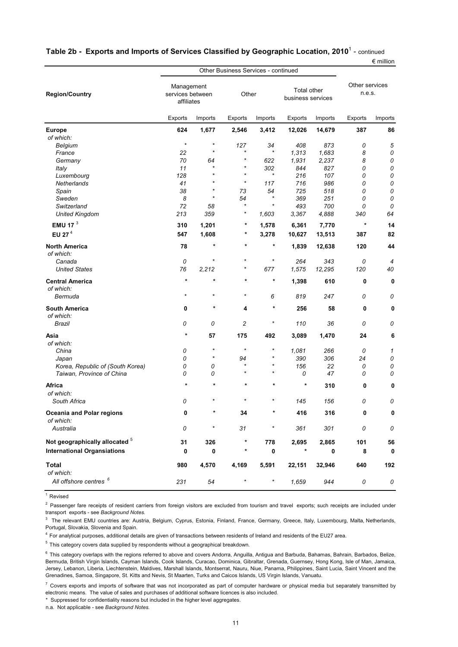| Table 2b- Exports and Imports of Services Classified by Geographic Location, 2010 $^{\rm 1}$ - $_{\rm continued}$ |                    |  |
|-------------------------------------------------------------------------------------------------------------------|--------------------|--|
|                                                                                                                   | $\epsilon$ million |  |

|                                        | <b>Other Business Services - continued</b>   |                    |                |                       |                                  |         |                          | ייטווווויט  |
|----------------------------------------|----------------------------------------------|--------------------|----------------|-----------------------|----------------------------------|---------|--------------------------|-------------|
| <b>Region/Country</b>                  | Management<br>services between<br>affiliates |                    | Other          |                       | Total other<br>business services |         | Other services<br>n.e.s. |             |
|                                        | Exports                                      | Imports            | Exports        | Imports               | <b>Exports</b>                   | Imports | Exports                  | Imports     |
| <b>Europe</b>                          | 624                                          | 1,677              | 2,546          | 3,412                 | 12,026                           | 14,679  | 387                      | 86          |
| of which:                              |                                              |                    |                |                       |                                  |         |                          |             |
| Belgium                                | $\star$                                      | $\star$            | 127            | 34                    | 408                              | 873     | 0                        | 5           |
| France                                 | 22                                           | $\star$            | $\star$        | *                     | 1,313                            | 1,683   | 8                        | 0           |
| Germany                                | 70                                           | 64                 | $^\star$       | 622                   | 1,931                            | 2,237   | 8                        | 0           |
| Italy                                  | 11                                           | $\star$            | $\star$        | 302                   | 844                              | 827     | 0                        | ${\cal O}$  |
| Luxembourg                             | 128                                          | $\star$            | $\star$        | $\star$               | 216                              | 107     | 0                        | 0           |
| Netherlands                            | 41                                           | $\star$            | $\star$        | 117                   | 716                              | 986     | 0                        | 0           |
| Spain                                  | 38                                           | $\star$<br>$\star$ | 73             | 54                    | 725                              | 518     | 0                        | 0           |
| Sweden                                 | 8                                            |                    | 54<br>$\star$  | $^{\star}$<br>$\star$ | 369                              | 251     | 0                        | 0           |
| Switzerland                            | 72                                           | 58                 | $^\star$       |                       | 493                              | 700     | 0                        | 0           |
| <b>United Kingdom</b>                  | 213                                          | 359                |                | 1,603                 | 3,367                            | 4,888   | 340                      | 64          |
| EMU 17 $3$                             | 310                                          | 1,201              | $\ast$         | 1,578                 | 6,361                            | 7,770   | $\ast$                   | 14          |
| EU 27 <sup>4</sup>                     | 547                                          | 1,608              | $^\ast$        | 3,278                 | 10,627                           | 13,513  | 387                      | 82          |
| <b>North America</b><br>of which:      | 78                                           | $\ast$             | $\ast$         | $\ast$                | 1,839                            | 12,638  | 120                      | 44          |
| Canada                                 | 0                                            | $\star$            | $\star$        | $\star$               | 264                              | 343     | 0                        | 4           |
| <b>United States</b>                   | 76                                           | 2,212              | $^\star$       | 677                   | 1,575                            | 12,295  | 120                      | 40          |
| <b>Central America</b><br>of which:    | $\star$                                      | $\star$            | $\star$        | $\ast$                | 1,398                            | 610     | 0                        | $\mathbf 0$ |
| Bermuda                                | $\star$                                      | $\star$            | $\star$        | 6                     | 819                              | 247     | 0                        | 0           |
| <b>South America</b><br>of which:      | 0                                            | *                  | 4              | $^\star$              | 256                              | 58      | 0                        | 0           |
| Brazil                                 | 0                                            | 0                  | $\overline{c}$ | *                     | 110                              | 36      | 0                        | 0           |
| Asia<br>of which:                      | $\pmb{\ast}$                                 | 57                 | 175            | 492                   | 3,089                            | 1,470   | 24                       | 6           |
| China                                  | 0                                            | $\star$            | $\star$        | *                     | 1,081                            | 266     | 0                        | 1           |
| Japan                                  | 0                                            | $\star$            | 94             | $\star$               | 390                              | 306     | 24                       | 0           |
| Korea, Republic of (South Korea)       | 0                                            | 0                  | $\star$        | $\star$               | 156                              | 22      | 0                        | 0           |
| Taiwan, Province of China              | 0                                            | 0                  | $\star$        | $\star$               | 0                                | 47      | 0                        | 0           |
| Africa<br>of which:                    | $\star$                                      | $\star$            |                |                       | $\ast$                           | 310     | 0                        | 0           |
| South Africa                           | 0                                            |                    | $\star$        | $\star$               | 145                              | 156     | 0                        | 0           |
| Oceania and Polar regions<br>of which: | 0                                            | *                  | 34             |                       | 416                              | 316     | 0                        | 0           |
| Australia                              | 0                                            | $^{\star}$         | 31             | $\star$               | 361                              | 301     | 0                        | 0           |
| Not geographically allocated $5$       | 31                                           | 326                | $\ast$         | 778                   | 2,695                            | 2,865   | 101                      | 56          |
| <b>International Organsiations</b>     | 0                                            | 0                  | $^\ast$        | 0                     | $^\ast$                          | 0       | 8                        | 0           |
| <b>Total</b><br>of which:              | 980                                          | 4,570              | 4,169          | 5,591                 | 22,151                           | 32,946  | 640                      | 192         |
| All offshore centres 6                 | 231                                          | 54                 | $\star$        | $\star$               | 1,659                            | 944     | 0                        | 0           |

<sup>&</sup>lt;sup>1</sup> Revised

 $2$  Passenger fare receipts of resident carriers from foreign visitors are excluded from tourism and travel exports; such receipts are included under transport exports - see *Background Notes.*

<sup>3</sup> The relevant EMU countries are: Austria, Belgium, Cyprus, Estonia, Finland, France, Germany, Greece, Italy, Luxembourg, Malta, Netherlands, Portugal, Slovakia, Slovenia and Spain.

<sup>4</sup> For analytical purposes, additional details are given of transactions between residents of Ireland and residents of the EU27 area.

 $5$  This category covers data supplied by respondents without a geographical breakdown.

<sup>6</sup> This category overlaps with the regions referred to above and covers Andorra, Anguilla, Antigua and Barbuda, Bahamas, Bahrain, Barbados, Belize, Bermuda, British Virgin Islands, Cayman Islands, Cook Islands, Curacao, Dominica, Gibraltar, Grenada, Guernsey, Hong Kong, Isle of Man, Jamaica, Jersey, Lebanon, Liberia, Liechtenstein, Maldives, Marshall Islands, Montserrat, Nauru, Niue, Panama, Philippines, Saint Lucia, Saint Vincent and the Grenadines, Samoa, Singapore, St. Kitts and Nevis, St Maarten, Turks and Caicos Islands, US Virgin Islands, Vanuatu.

 $^7$  Covers exports and imports of software that was not incorporated as part of computer hardware or physical media but separately transmitted by electronic means. The value of sales and purchases of additional software licences is also included.

\* Suppressed for confidentiality reasons but included in the higher level aggregates.

n.a. Not applicable - see *Background Notes.*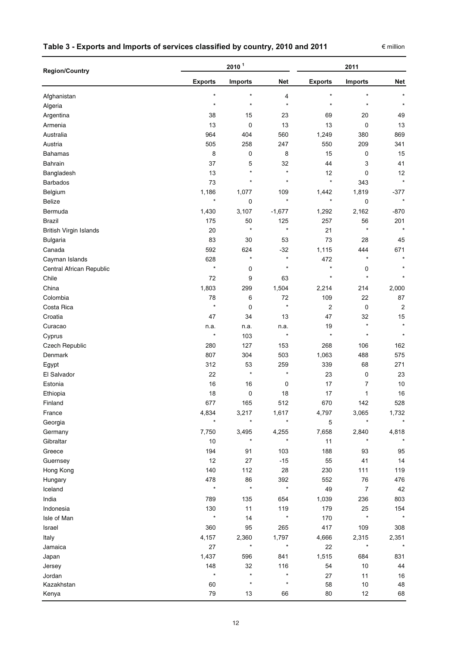### **Table 3 - Exports and Imports of services classified by country, 2010 and 2011**

| <b>Region/Country</b>    |                | 2011           |            |                |                  |            |
|--------------------------|----------------|----------------|------------|----------------|------------------|------------|
|                          | <b>Exports</b> | <b>Imports</b> | <b>Net</b> | <b>Exports</b> | <b>Imports</b>   | <b>Net</b> |
| Afghanistan              | $\star$        | $\star$        | 4          | $\star$        | $\star$          | $\star$    |
| Algeria                  | $\star$        | $\star$        | $\star$    | $\star$        | $\star$          | $\star$    |
| Argentina                | 38             | 15             | 23         | 69             | 20               | 49         |
| Armenia                  | 13             | 0              | 13         | 13             | 0                | 13         |
| Australia                | 964            | 404            | 560        | 1,249          | 380              | 869        |
| Austria                  | 505            | 258            | 247        | 550            | 209              | 341        |
| <b>Bahamas</b>           | 8              | 0              | 8          | 15             | 0                | 15         |
| Bahrain                  | 37             | 5              | 32         | 44             | 3                | 41         |
| Bangladesh               | 13             | $\star$        | $\star$    | 12             | 0                | 12         |
| <b>Barbados</b>          | 73             | $\star$        | $\star$    | $\star$        | 343              | $\star$    |
| Belgium                  | 1,186          | 1,077          | 109        | 1,442          | 1,819            | $-377$     |
| Belize                   | $\star$        | 0              | $\star$    | $\star$        | 0                | $\star$    |
| Bermuda                  | 1,430          | 3,107          | $-1,677$   | 1,292          | 2,162            | $-870$     |
| <b>Brazil</b>            | 175            | 50             | 125        | 257            | 56               | 201        |
| British Virgin Islands   | 20             | $\star$        | $\star$    | 21             | $\star$          | $\star$    |
| Bulgaria                 | 83             | 30             | 53         | 73             | 28               | 45         |
| Canada                   | 592            | 624            | $-32$      | 1,115          | 444              | 671        |
| Cayman Islands           | 628            | $\star$        | $\star$    | 472            | $\star$          |            |
| Central African Republic | $\star$        | 0              | $\star$    | $\star$        | 0                |            |
| Chile                    | 72             | 9              | 63         | $\star$        | $\star$          |            |
| China                    | 1,803          | 299            | 1,504      | 2,214          | 214              | 2,000      |
| Colombia                 | 78             | 6              | 72         | 109            | 22               | 87         |
| Costa Rica               | $\star$        | 0              | $\star$    | 2              | 0                | $\sqrt{2}$ |
| Croatia                  | 47             | 34             | 13         | 47             | 32               | 15         |
| Curacao                  | n.a.           | n.a.           | n.a.       | 19             | $\star$          | $\star$    |
| Cyprus                   | $\star$        | 103            | $\star$    | $\star$        | $\star$          | $\star$    |
| Czech Republic           | 280            | 127            | 153        | 268            | 106              | 162        |
| Denmark                  | 807            | 304            | 503        | 1,063          | 488              | 575        |
| Egypt                    | 312            | 53             | 259        | 339            | 68               | 271        |
| El Salvador              | 22             | $\star$        | $\star$    | 23             | 0                | 23         |
| Estonia                  | 16             | 16             | 0          | 17             | 7                | 10         |
| Ethiopia                 | 18             | 0              | 18         | 17             | 1                | 16         |
| Finland                  | 677            | 165            | 512        | 670            | 142              | 528        |
| France                   | 4,834          | 3,217          | 1,617      | 4,797          | 3,065            | 1,732      |
| Georgia                  |                | $\star$        | $\star$    | 5              | $\star$          | $\star$    |
| Germany                  | 7,750          | 3,495          | 4,255      | 7,658          | 2,840            | 4,818      |
| Gibraltar                | 10             | $\ast$         | $\star$    | 11             | $^\star$         |            |
| Greece                   | 194            | 91             | 103        | 188            | 93               | 95         |
| Guernsey                 | 12             | 27             | $-15$      | 55             | 41               | 14         |
| Hong Kong                | 140            | 112            | 28         | 230            | 111              | 119        |
| Hungary                  | 478            | 86             | 392        | 552            | 76               | 476        |
| Iceland                  | $\star$        | $\star$        | $\star$    | 49             | $\boldsymbol{7}$ | 42         |
| India                    | 789            | 135            | 654        | 1,039          | 236              | 803        |
| Indonesia                | 130            | 11             | 119        | 179            | 25               | 154        |
| Isle of Man              |                | 14             | $\star$    | 170            | $\star$          |            |
| Israel                   | 360            | 95             | 265        | 417            | 109              | 308        |
| Italy                    | 4,157          | 2,360          | 1,797      | 4,666          | 2,315            | 2,351      |
| Jamaica                  | 27             | ×              | $\star$    | 22             | ×                |            |
| Japan                    | 1,437          | 596            | 841        | 1,515          | 684              | 831        |
| Jersey                   | 148            | 32             | 116        | 54             | 10               | 44         |
| Jordan                   | $\star$        | $\star$        | $\star$    | 27             | 11               | $16\,$     |
| Kazakhstan               | 60             | $\star$        | $\star$    | 58             | 10               | 48         |
| Kenya                    | 79             | 13             | 66         | 80             | 12               | 68         |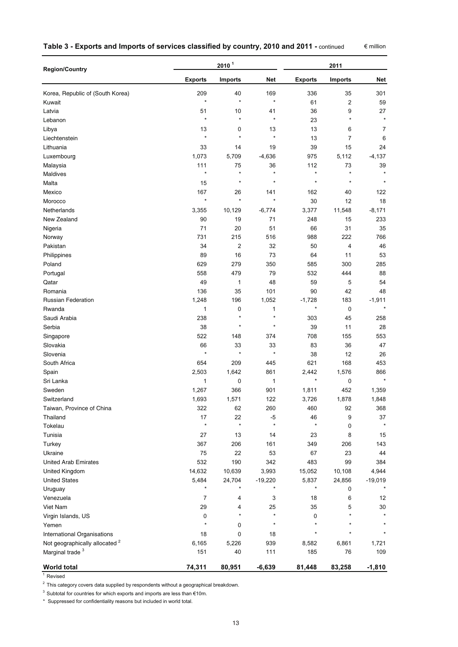| Table 3 - Exports and Imports of services classified by country, 2010 and 2011 - continued |  |  |
|--------------------------------------------------------------------------------------------|--|--|
|--------------------------------------------------------------------------------------------|--|--|

€ million

| <b>Region/Country</b>                     |                  | 2011                    |                      |                  |                |                |
|-------------------------------------------|------------------|-------------------------|----------------------|------------------|----------------|----------------|
|                                           | <b>Exports</b>   | Imports                 | <b>Net</b>           | <b>Exports</b>   | Imports        | Net            |
| Korea, Republic of (South Korea)          | 209              | 40                      | 169                  | 336              | 35             | 301            |
| Kuwait                                    | $\star$          | $\star$                 | $\star$              | 61               | $\overline{c}$ | 59             |
| Latvia                                    | 51               | 10                      | 41                   | 36               | 9              | 27             |
| Lebanon                                   | $\star$          | $\star$                 | $\star$              | 23               | $\star$        | $\star$        |
| Libya                                     | 13               | 0                       | 13                   | 13               | 6              | $\overline{7}$ |
| Liechtenstein                             | $\star$          | $\star$                 | $\star$              | 13               | $\overline{7}$ | 6              |
| Lithuania                                 | 33               | 14                      | 19                   | 39               | 15             | 24             |
| Luxembourg                                | 1,073            | 5,709                   | $-4,636$             | 975              | 5,112          | $-4,137$       |
| Malaysia                                  | 111              | 75                      | 36                   | 112              | 73             | 39             |
| Maldives                                  | $\star$          | $\star$                 | $\star$              | $\star$          | $\star$        |                |
| Malta                                     | 15               | $\star$                 | $\star$              | $\star$          | $\star$        | $\star$        |
| Mexico                                    | 167              | 26                      | 141                  | 162              | 40             | 122            |
| Morocco                                   | $\star$          | $\star$                 | $\star$              | 30               | 12             | 18             |
| Netherlands                               | 3,355            | 10,129                  | $-6,774$             | 3,377            | 11,548         | $-8,171$       |
| New Zealand                               | 90               | 19                      | 71                   | 248              | 15             | 233            |
| Nigeria                                   | 71               | 20                      | 51                   | 66               | 31             | 35             |
| Norway                                    | 731              | 215                     | 516                  | 988              | 222            | 766            |
| Pakistan                                  | 34               | $\overline{\mathbf{c}}$ | 32                   | 50               | 4              | 46             |
| Philippines                               | 89               | 16                      | 73                   | 64               | 11             | 53             |
| Poland                                    | 629              | 279                     | 350                  | 585              | 300            | 285            |
| Portugal                                  | 558              | 479                     | 79                   | 532              | 444            | 88             |
| Qatar                                     | 49               | 1                       | 48                   | 59               | 5              | 54             |
| Romania                                   | 136              | 35                      | 101                  | 90               | 42             | 48             |
| <b>Russian Federation</b>                 | 1,248            | 196                     | 1,052                | $-1,728$         | 183            | $-1,911$       |
| Rwanda                                    | 1                | 0                       | 1                    | $\pmb{\ast}$     | $\mathbf 0$    | $\star$        |
| Saudi Arabia                              | 238              | $\star$                 | $\star$              | 303              | 45             | 258            |
| Serbia                                    | 38               | $\star$                 | $\star$              | 39               | 11             | 28             |
| Singapore                                 | 522              | 148                     | 374                  | 708              | 155            | 553            |
| Slovakia                                  | 66               | 33                      | 33                   | 83               | 36             | 47             |
| Slovenia                                  | $\star$          | $\star$                 | $\star$              | 38               | 12             | 26             |
| South Africa                              | 654              | 209                     | 445                  | 621              | 168            | 453            |
| Spain                                     | 2,503            | 1,642                   | 861                  | 2,442            | 1,576          | 866            |
| Sri Lanka                                 | 1                | 0                       | 1                    | $\star$          | 0              | $\star$        |
| Sweden                                    | 1,267            | 366                     | 901                  | 1,811            | 452            | 1,359          |
| Switzerland                               | 1,693            | 1,571                   | 122                  | 3,726            | 1,878          | 1,848          |
| Taiwan, Province of China                 | 322              | 62                      | 260                  | 460              | 92             | 368            |
| Thailand                                  | 17               | 22                      | $-5$                 | 46               | 9              | 37             |
| Tokelau                                   | $\star$          | $\star$                 | $\star$              | $\star$          | 0              | $\star$        |
| Tunisia                                   | 27               | 13                      |                      | 23               | 8              | 15             |
| Turkey                                    | 367              | 206                     | 14<br>161            | 349              | 206            | 143            |
| Ukraine                                   | 75               | 22                      | 53                   | 67               | 23             | 44             |
|                                           |                  |                         |                      |                  |                |                |
| <b>United Arab Emirates</b>               | 532              | 190                     | 342                  | 483              | 99             | 384            |
| United Kingdom                            | 14,632           | 10,639                  | 3,993                | 15,052           | 10,108         | 4,944          |
| <b>United States</b>                      | 5,484<br>$\star$ | 24,704<br>$\star$       | $-19,220$<br>$\star$ | 5,837<br>$\star$ | 24,856         | $-19,019$      |
| Uruguay                                   |                  |                         |                      |                  | 0              |                |
| Venezuela                                 | $\overline{7}$   | 4                       | 3                    | 18               | 6              | 12             |
| Viet Nam                                  | 29               | 4<br>$\star$            | 25<br>$\star$        | 35               | 5<br>$\star$   | 30             |
| Virgin Islands, US                        | 0<br>$\star$     |                         | $\star$              | 0<br>$\star$     |                |                |
| Yemen                                     |                  | 0                       |                      | $\star$          |                |                |
| International Organisations               | 18               | $\mathbf 0$             | 18                   |                  |                |                |
| Not geographically allocated <sup>2</sup> | 6,165            | 5,226                   | 939                  | 8,582            | 6,861          | 1,721          |
| Marginal trade <sup>3</sup>               | 151              | 40                      | 111                  | 185              | 76             | 109            |
| <b>World total</b>                        | 74,311           | 80,951                  | $-6,639$             | 81,448           | 83,258         | $-1,810$       |
| Revised                                   |                  |                         |                      |                  |                |                |

 $^{2}$  This category covers data supplied by respondents without a geographical breakdown.

3 Subtotal for countries for which exports and imports are less than  $€10m$ .

\* Suppressed for confidentiality reasons but included in world total.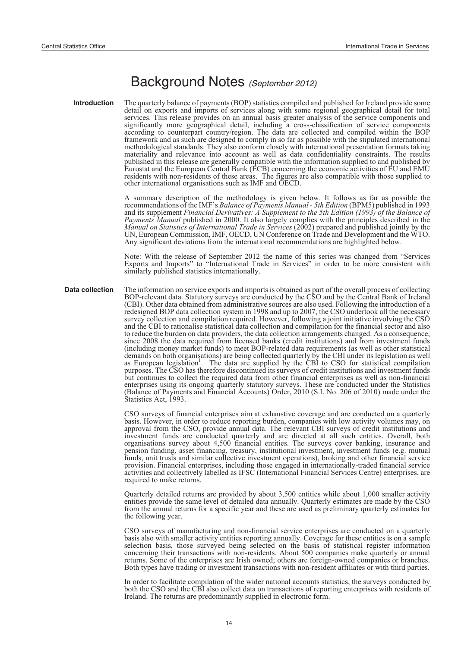# Background Notes *(September 2012)*

**Introduction** The quarterly balance of payments (BOP) statistics compiled and published for Ireland provide some detail on exports and imports of services along with some regional geographical detail for total services. This release provides on an annual basis greater analysis of the service components and significantly more geographical detail, including a cross-classification of service components according to counterpart country/region. The data are collected and compiled within the BOP framework and as such are designed to comply in so far as possible with the stipulated international methodological standards. They also conform closely with international presentation formats taking materiality and relevance into account as well as data confidentiality constraints. The results published in this release are generally compatible with the information supplied to and published by Eurostat and the European Central Bank (ECB) concerning the economic activities of EU and EMU residents with non-residents of these areas. The figures are also compatible with those supplied to other international organisations such as IMF and OECD.

> A summary description of the methodology is given below. It follows as far as possible the recommendations of the IMF's *Balance of Payments Manual - 5th Edition* (BPM5) published in 1993 and its supplement *Financial Derivatives: A Supplement to the 5th Edition (1993) of the Balance of Payments Manual* published in 2000. It also largely complies with the principles described in the *Manual on Statistics of International Trade in Services* (2002) prepared and published jointly by the UN, European Commission, IMF, OECD, UN Conference on Trade and Development and the WTO. Any significant deviations from the international recommendations are highlighted below.

> Note: With the release of September 2012 the name of this series was changed from "Services Exports and Imports" to "International Trade in Services" in order to be more consistent with similarly published statistics internationally.

**Data collection** The information on service exports and imports is obtained as part of the overall process of collecting BOP-relevant data. Statutory surveys are conducted by the CSO and by the Central Bank of Ireland (CBI). Other data obtained from administrative sources are also used. Following the introduction of a redesigned BOP data collection system in 1998 and up to 2007, the CSO undertook all the necessary survey collection and compilation required. However, following a joint initiative involving the CSO and the CBI to rationalise statistical data collection and compilation for the financial sector and also to reduce the burden on data providers, the data collection arrangements changed. As a consequence, since 2008 the data required from licensed banks (credit institutions) and from investment funds (including money market funds) to meet BOP-related data requirements (as well as other statistical demands on both organisations) are being collected quarterly by the CBI under its legislation as well as European legislation. The data are supplied by the CBI to CSO for statistical compilation purposes. The CSO has therefore discontinued its surveys of credit institutions and investment funds but continues to collect the required data from other financial enterprises as well as non-financial enterprises using its ongoing quarterly statutory surveys. These are conducted under the Statistics (Balance of Payments and Financial Accounts) Order, 2010 (S.I. No. 206 of 2010) made under the Statistics Act, 1993.

> CSO surveys of financial enterprises aim at exhaustive coverage and are conducted on a quarterly basis. However, in order to reduce reporting burden, companies with low activity volumes may, on approval from the CSO, provide annual data. The relevant CBI surveys of credit institutions and investment funds are conducted quarterly and are directed at all such entities. Overall, both organisations survey about 4,500 financial entities. The surveys cover banking, insurance and pension funding, asset financing, treasury, institutional investment, investment funds (e.g. mutual funds, unit trusts and similar collective investment operations), broking and other financial service provision. Financial enterprises, including those engaged in internationally-traded financial service activities and collectively labelled as IFSC (International Financial Services Centre) enterprises, are required to make returns.

> Quarterly detailed returns are provided by about 3,500 entities while about 1,000 smaller activity entities provide the same level of detailed data annually. Quarterly estimates are made by the CSO from the annual returns for a specific year and these are used as preliminary quarterly estimates for the following year.

> CSO surveys of manufacturing and non-financial service enterprises are conducted on a quarterly basis also with smaller activity entities reporting annually. Coverage for these entities is on a sample selection basis, those surveyed being selected on the basis of statistical register information concerning their transactions with non-residents. About 500 companies make quarterly or annual returns. Some of the enterprises are Irish owned; others are foreign-owned companies or branches. Both types have trading or investment transactions with non-resident affiliates or with third parties.

> In order to facilitate compilation of the wider national accounts statistics, the surveys conducted by both the CSO and the CBI also collect data on transactions of reporting enterprises with residents of Ireland. The returns are predominantly supplied in electronic form.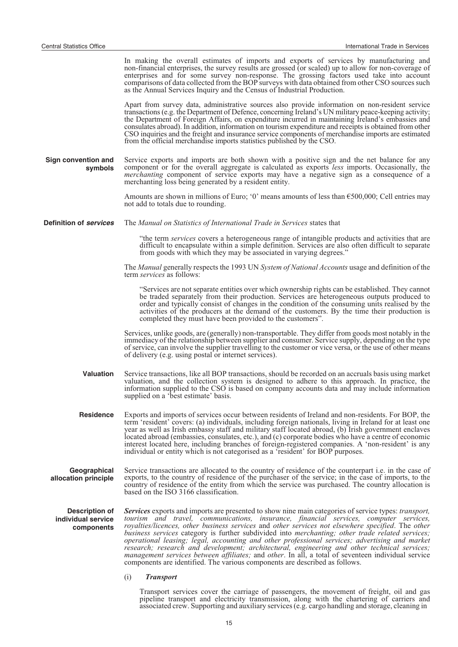|                                                           | In making the overall estimates of imports and exports of services by manufacturing and<br>non-financial enterprises, the survey results are grossed (or scaled) up to allow for non-coverage of<br>enterprises and for some survey non-response. The grossing factors used take into account<br>comparisons of data collected from the BOP surveys with data obtained from other CSO sources such<br>as the Annual Services Inquiry and the Census of Industrial Production.                                                                                                                                                                                                                                                                                                                                |
|-----------------------------------------------------------|--------------------------------------------------------------------------------------------------------------------------------------------------------------------------------------------------------------------------------------------------------------------------------------------------------------------------------------------------------------------------------------------------------------------------------------------------------------------------------------------------------------------------------------------------------------------------------------------------------------------------------------------------------------------------------------------------------------------------------------------------------------------------------------------------------------|
|                                                           | Apart from survey data, administrative sources also provide information on non-resident service<br>transactions (e.g. the Department of Defence, concerning Ireland's UN military peace-keeping activity;<br>the Department of Foreign Affairs, on expenditure incurred in maintaining Ireland's embassies and<br>consulates abroad). In addition, information on tourism expenditure and receipts is obtained from other<br>CSO inquiries and the freight and insurance service components of merchandise imports are estimated<br>from the official merchandise imports statistics published by the CSO.                                                                                                                                                                                                   |
| Sign convention and<br>symbols                            | Service exports and imports are both shown with a positive sign and the net balance for any<br>component or for the overall aggregate is calculated as exports <i>less</i> imports. Occasionally, the<br><i>merchanting</i> component of service exports may have a negative sign as a consequence of a<br>merchanting loss being generated by a resident entity.                                                                                                                                                                                                                                                                                                                                                                                                                                            |
|                                                           | Amounts are shown in millions of Euro; '0' means amounts of less than $\epsilon$ 500,000; Cell entries may<br>not add to totals due to rounding.                                                                                                                                                                                                                                                                                                                                                                                                                                                                                                                                                                                                                                                             |
| <b>Definition of services</b>                             | The Manual on Statistics of International Trade in Services states that                                                                                                                                                                                                                                                                                                                                                                                                                                                                                                                                                                                                                                                                                                                                      |
|                                                           | "the term services covers a heterogeneous range of intangible products and activities that are<br>difficult to encapsulate within a simple definition. Services are also often difficult to separate<br>from goods with which they may be associated in varying degrees."                                                                                                                                                                                                                                                                                                                                                                                                                                                                                                                                    |
|                                                           | The Manual generally respects the 1993 UN System of National Accounts usage and definition of the<br>term <i>services</i> as follows:                                                                                                                                                                                                                                                                                                                                                                                                                                                                                                                                                                                                                                                                        |
|                                                           | "Services are not separate entities over which ownership rights can be established. They cannot<br>be traded separately from their production. Services are heterogeneous outputs produced to<br>order and typically consist of changes in the condition of the consuming units realised by the<br>activities of the producers at the demand of the customers. By the time their production is<br>completed they must have been provided to the customers".                                                                                                                                                                                                                                                                                                                                                  |
|                                                           | Services, unlike goods, are (generally) non-transportable. They differ from goods most notably in the<br>immediacy of the relationship between supplier and consumer. Service supply, depending on the type<br>of service, can involve the supplier travelling to the customer or vice versa, or the use of other means<br>of delivery (e.g. using postal or internet services).                                                                                                                                                                                                                                                                                                                                                                                                                             |
| Valuation                                                 | Service transactions, like all BOP transactions, should be recorded on an accruals basis using market<br>valuation, and the collection system is designed to adhere to this approach. In practice, the<br>information supplied to the CSO is based on company accounts data and may include information<br>supplied on a 'best estimate' basis.                                                                                                                                                                                                                                                                                                                                                                                                                                                              |
| <b>Residence</b>                                          | Exports and imports of services occur between residents of Ireland and non-residents. For BOP, the<br>term 'resident' covers: (a) individuals, including foreign nationals, living in Ireland for at least one<br>year as well as Irish embassy staff and military staff located abroad, (b) Irish government enclaves<br>located abroad (embassies, consulates, etc.), and (c) corporate bodies who have a centre of economic<br>interest located here, including branches of foreign-registered companies. A 'non-resident' is any<br>individual or entity which is not categorised as a 'resident' for BOP purposes.                                                                                                                                                                                      |
| Geographical<br>allocation principle                      | Service transactions are allocated to the country of residence of the counterpart i.e. in the case of<br>exports, to the country of residence of the purchaser of the service; in the case of imports, to the<br>country of residence of the entity from which the service was purchased. The country allocation is<br>based on the ISO 3166 classification.                                                                                                                                                                                                                                                                                                                                                                                                                                                 |
| <b>Description of</b><br>individual service<br>components | <b>Services</b> exports and imports are presented to show nine main categories of service types: <i>transport</i> ,<br>tourism and travel, communications, insurance, financial services, computer services,<br>royalties/licences, other business services and other services not elsewhere specified. The other<br>business services category is further subdivided into merchanting; other trade related services;<br>operational leasing; legal, accounting and other professional services; advertising and market<br>research; research and development; architectural, engineering and other technical services;<br>management services between affiliates; and other. In all, a total of seventeen individual service<br>components are identified. The various components are described as follows. |
|                                                           | (i)<br><b>Transport</b>                                                                                                                                                                                                                                                                                                                                                                                                                                                                                                                                                                                                                                                                                                                                                                                      |

Transport services cover the carriage of passengers, the movement of freight, oil and gas pipeline transport and electricity transmission, along with the chartering of carriers and associated crew. Supporting and auxiliary services (e.g. cargo handling and storage, cleaning in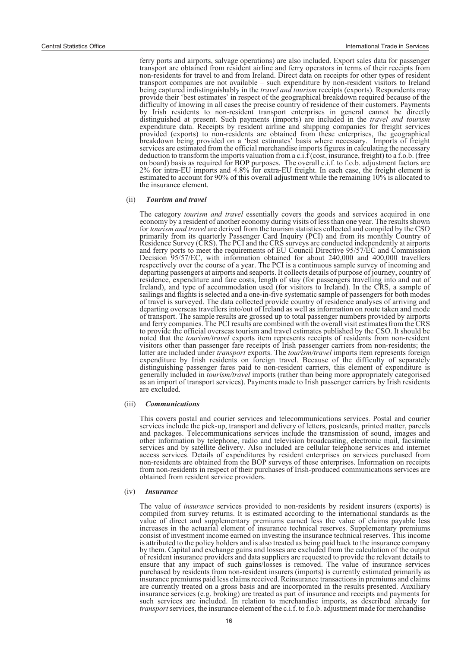ferry ports and airports, salvage operations) are also included. Export sales data for passenger transport are obtained from resident airline and ferry operators in terms of their receipts from non-residents for travel to and from Ireland. Direct data on receipts for other types of resident transport companies are not available – such expenditure by non-resident visitors to Ireland being captured indistinguishably in the *travel and tourism* receipts (exports). Respondents may provide their 'best estimates' in respect of the geographical breakdown required because of the difficulty of knowing in all cases the precise country of residence of their customers. Payments by Irish residents to non-resident transport enterprises in general cannot be directly distinguished at present. Such payments (imports) are included in the *travel and tourism* expenditure data. Receipts by resident airline and shipping companies for freight services provided (exports) to non-residents are obtained from these enterprises, the geographical breakdown being provided on a 'best estimates' basis where necessary. Imports of freight services are estimated from the official merchandise imports figures in calculating the necessary deduction to transform the imports valuation from a c.i.f (cost, insurance, freight) to a f.o.b. (free on board) basis as required for BOP purposes. The overall c.i.f. to f.o.b. adjustment factors are 2% for intra-EU imports and 4.8% for extra-EU freight. In each case, the freight element is estimated to account for 90% of this overall adjustment while the remaining 10% is allocated to the insurance element.

### (ii) *Tourism and travel*

The category *tourism and travel* essentially covers the goods and services acquired in one economy by a resident of another economy during visits of less than one year. The results shown for *tourism and travel* are derived from the tourism statistics collected and compiled by the CSO primarily from its quarterly Passenger Card Inquiry (PCI) and from its monthly Country of Residence Survey (CRS). The PCI and the CRS surveys are conducted independently at airports and ferry ports to meet the requirements of EU Council Directive 95/57/EC and Commission Decision 95/57/EC, with information obtained for about 240,000 and 400,000 travellers respectively over the course of a year. The PCI is a continuous sample survey of incoming and departing passengers at airports and seaports. It collects details of purpose of journey, country of residence, expenditure and fare costs, length of stay (for passengers travelling into and out of Ireland), and type of accommodation used (for visitors to Ireland). In the CRS, a sample of sailings and flights is selected and a one-in-five systematic sample of passengers for both modes of travel is surveyed. The data collected provide country of residence analyses of arriving and departing overseas travellers into/out of Ireland as well as information on route taken and mode of transport. The sample results are grossed up to total passenger numbers provided by airports and ferry companies. The PCI results are combined with the overall visit estimates from the CRS to provide the official overseas tourism and travel estimates published by the CSO. It should be noted that the *tourism/travel* exports item represents receipts of residents from non-resident visitors other than passenger fare receipts of Irish passenger carriers from non-residents; the latter are included under *transport* exports. The *tourism/travel* imports item represents foreign expenditure by Irish residents on foreign travel. Because of the difficulty of separately distinguishing passenger fares paid to non-resident carriers, this element of expenditure is generally included in *tourism/travel* imports (rather than being more appropriately categorised as an import of transport services). Payments made to Irish passenger carriers by Irish residents are excluded.

#### (iii) *Communications*

This covers postal and courier services and telecommunications services. Postal and courier services include the pick-up, transport and delivery of letters, postcards, printed matter, parcels and packages. Telecommunications services include the transmission of sound, images and other information by telephone, radio and television broadcasting, electronic mail, facsimile services and by satellite delivery. Also included are cellular telephone services and internet access services. Details of expenditures by resident enterprises on services purchased from non-residents are obtained from the BOP surveys of these enterprises. Information on receipts from non-residents in respect of their purchases of Irish-produced communications services are obtained from resident service providers.

#### (iv) *Insurance*

The value of *insurance* services provided to non-residents by resident insurers (exports) is compiled from survey returns. It is estimated according to the international standards as the value of direct and supplementary premiums earned less the value of claims payable less increases in the actuarial element of insurance technical reserves. Supplementary premiums consist of investment income earned on investing the insurance technical reserves. This income is attributed to the policy holders and is also treated as being paid back to the insurance company by them. Capital and exchange gains and losses are excluded from the calculation of the output of resident insurance providers and data suppliers are requested to provide the relevant details to ensure that any impact of such gains/losses is removed. The value of insurance services purchased by residents from non-resident insurers (imports) is currently estimated primarily as insurance premiums paid less claims received. Reinsurance transactions in premiums and claims are currently treated on a gross basis and are incorporated in the results presented. Auxiliary insurance services (e.g. broking) are treated as part of insurance and receipts and payments for such services are included. In relation to merchandise imports, as described already for *transport* services, the insurance element of the c.i.f. to f.o.b. adjustment made for merchandise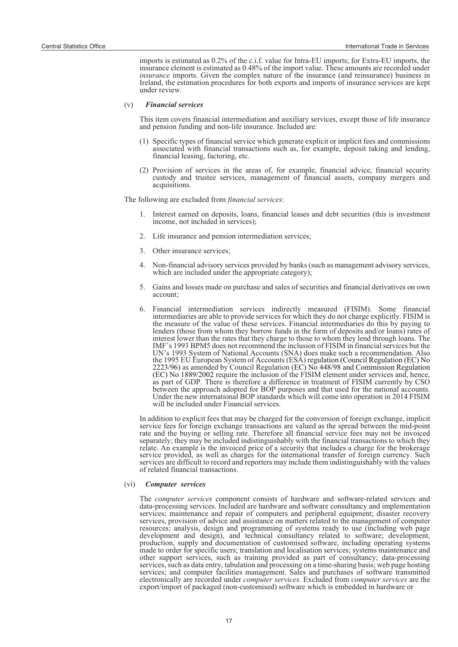imports is estimated as 0.2% of the c.i.f. value for Intra-EU imports; for Extra-EU imports, the insurance element is estimated as 0.48% of the import value. These amounts are recorded under *insurance* imports. Given the complex nature of the insurance (and reinsurance) business in Ireland, the estimation procedures for both exports and imports of insurance services are kept under review.

### (v) *Financial services*

This item covers financial intermediation and auxiliary services, except those of life insurance and pension funding and non-life insurance. Included are:

- (1) Specific types of financial service which generate explicit or implicit fees and commissions associated with financial transactions such as, for example, deposit taking and lending, financial leasing, factoring, etc.
- (2) Provision of services in the areas of, for example, financial advice, financial security custody and trustee services, management of financial assets, company mergers and acquisitions.

The following are excluded from *financial services*:

- 1. Interest earned on deposits, loans, financial leases and debt securities (this is investment income, not included in services);
- 2. Life insurance and pension intermediation services;
- 3. Other insurance services;
- 4. Non-financial advisory services provided by banks (such as management advisory services, which are included under the appropriate category);
- 5. Gains and losses made on purchase and sales of securities and financial derivatives on own account;
- 6. Financial intermediation services indirectly measured (FISIM). Some financial intermediaries are able to provide services for which they do not charge explicitly. FISIM is the measure of the value of these services. Financial intermediaries do this by paying to lenders (those from whom they borrow funds in the form of deposits and/or loans) rates of interest lower than the rates that they charge to those to whom they lend through loans. The IMF's 1993 BPM5 does not recommend the inclusion of FISIM in financial services but the UN's 1993 System of National Accounts (SNA) does make such a recommendation. Also the 1995 EU European System of Accounts (ESA) regulation (Council Regulation (EC) No 2223/96) as amended by Council Regulation (EC) No 448/98 and Commission Regulation (EC) No 1889/2002 require the inclusion of the FISIM element under services and, hence, as part of GDP. There is therefore a difference in treatment of FISIM currently by CSO between the approach adopted for BOP purposes and that used for the national accounts. Under the new international BOP standards which will come into operation in 2014 FISIM will be included under Financial services.

In addition to explicit fees that may be charged for the conversion of foreign exchange, implicit service fees for foreign exchange transactions are valued as the spread between the mid-point rate and the buying or selling rate. Therefore all financial service fees may not be invoiced separately; they may be included indistinguishably with the financial transactions to which they relate. An example is the invoiced price of a security that includes a charge for the brokerage service provided, as well as charges for the international transfer of foreign currency. Such services are difficult to record and reporters may include them indistinguishably with the values of related financial transactions.

### (vi) *Computer services*

The *computer services* component consists of hardware and software-related services and data-processing services. Included are hardware and software consultancy and implementation services; maintenance and repair of computers and peripheral equipment; disaster recovery services, provision of advice and assistance on matters related to the management of computer resources; analysis, design and programming of systems ready to use (including web page development and design), and technical consultancy related to software; development, production, supply and documentation of customised software, including operating systems made to order for specific users; translation and localisation services; systems maintenance and other support services, such as training provided as part of consultancy; data-processing services, such as data entry, tabulation and processing on a time-sharing basis; web page hosting services; and computer facilities management. Sales and purchases of software transmitted electronically are recorded under *computer services*. Excluded from *computer services* are the export/import of packaged (non-customised) software which is embedded in hardware or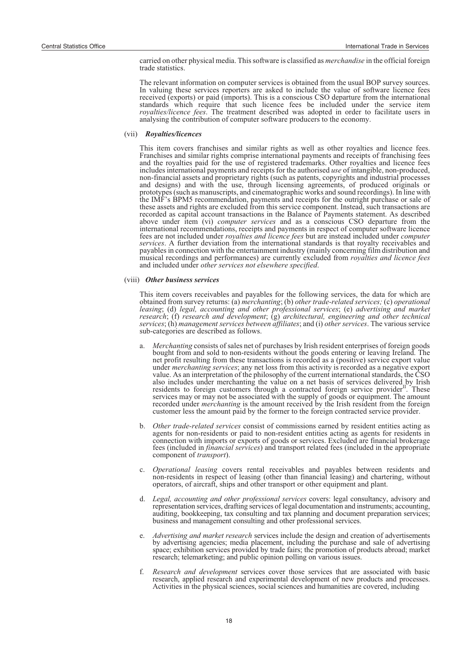carried on other physical media. This software is classified as *merchandise* in the official foreign trade statistics.

The relevant information on computer services is obtained from the usual BOP survey sources. In valuing these services reporters are asked to include the value of software licence fees received (exports) or paid (imports). This is a conscious CSO departure from the international standards which require that such licence fees be included under the service item *royalties/licence fees*. The treatment described was adopted in order to facilitate users in analysing the contribution of computer software producers to the economy.

### (vii) *Royalties/licences*

This item covers franchises and similar rights as well as other royalties and licence fees. Franchises and similar rights comprise international payments and receipts of franchising fees and the royalties paid for the use of registered trademarks. Other royalties and licence fees includes international payments and receipts for the authorised *use* of intangible, non-produced, non-financial assets and proprietary rights (such as patents, copyrights and industrial processes and designs) and with the use, through licensing agreements, of produced originals or prototypes (such as manuscripts, and cinematographic works and sound recordings). In line with the IMF's BPM5 recommendation, payments and receipts for the outright purchase or sale of these assets and rights are excluded from this service component. Instead, such transactions are recorded as capital account transactions in the Balance of Payments statement. As described above under item (vi) *computer services* and as a conscious CSO departure from the international recommendations, receipts and payments in respect of computer software licence fees are not included under *royalties and licence fees* but are instead included under *computer services*. A further deviation from the international standards is that royalty receivables and payables in connection with the entertainment industry (mainly concerning film distribution and musical recordings and performances) are currently excluded from *royalties and licence fees* and included under *other services not elsewhere specified*.

### (viii) *Other business services*

This item covers receivables and payables for the following services, the data for which are obtained from survey returns: (a) *merchanting*; (b) *other trade-related services;* (c) *operational leasing*; (d) *legal, accounting and other professional services*; (e) *advertising and market research*; (f) *research and development*; (g) *architectural, engineering and other technical services*; (h) *management services between affiliates*; and (i) *other services*. The various service sub-categories are described as follows.

- a. *Merchanting* consists of sales net of purchases by Irish resident enterprises of foreign goods bought from and sold to non-residents without the goods entering or leaving Ireland. The net profit resulting from these transactions is recorded as a (positive) service export value under *merchanting services*; any net loss from this activity is recorded as a negative export value. As an interpretation of the philosophy of the current international standards, the CSO also includes under merchanting the value on a net basis of services delivered by Irish residents to foreign customers through a contracted foreign service provider<sup>II</sup>. These services may or may not be associated with the supply of goods or equipment. The amount recorded under *merchanting* is the amount received by the Irish resident from the foreign customer less the amount paid by the former to the foreign contracted service provider.
- b. *Other trade-related services* consist of commissions earned by resident entities acting as agents for non-residents or paid to non-resident entities acting as agents for residents in connection with imports or exports of goods or services. Excluded are financial brokerage fees (included in *financial services*) and transport related fees (included in the appropriate component of *transport*).
- c. *Operational leasing* covers rental receivables and payables between residents and non-residents in respect of leasing (other than financial leasing) and chartering, without operators, of aircraft, ships and other transport or other equipment and plant.
- d. *Legal, accounting and other professional services* covers: legal consultancy, advisory and representation services, drafting services of legal documentation and instruments; accounting, auditing, bookkeeping, tax consulting and tax planning and document preparation services; business and management consulting and other professional services.
- e. *Advertising and market research* services include the design and creation of advertisements by advertising agencies; media placement, including the purchase and sale of advertising space; exhibition services provided by trade fairs; the promotion of products abroad; market research; telemarketing; and public opinion polling on various issues.
- f. *Research and development* services cover those services that are associated with basic research, applied research and experimental development of new products and processes. Activities in the physical sciences, social sciences and humanities are covered, including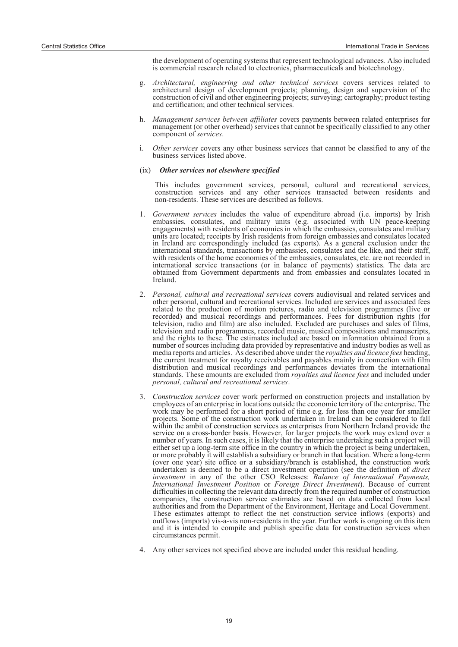the development of operating systems that represent technological advances. Also included is commercial research related to electronics, pharmaceuticals and biotechnology.

- g. *Architectural, engineering and other technical services* covers services related to architectural design of development projects; planning, design and supervision of the construction of civil and other engineering projects; surveying; cartography; product testing and certification; and other technical services.
- h. *Management services between affiliates* covers payments between related enterprises for management (or other overhead) services that cannot be specifically classified to any other component of *services*.
- i. *Other services* covers any other business services that cannot be classified to any of the business services listed above.
- (ix) *Other services not elsewhere specified*

This includes government services, personal, cultural and recreational services, construction services and any other services transacted between residents and non-residents. These services are described as follows.

- 1. *Government services* includes the value of expenditure abroad (i.e. imports) by Irish embassies, consulates, and military units (e.g. associated with UN peace-keeping engagements) with residents of economies in which the embassies, consulates and military units are located; receipts by Irish residents from foreign embassies and consulates located in Ireland are correspondingly included (as exports). As a general exclusion under the international standards, transactions by embassies, consulates and the like, and their staff, with residents of the home economies of the embassies, consulates, etc. are not recorded in international service transactions (or in balance of payments) statistics. The data are obtained from Government departments and from embassies and consulates located in Ireland.
- 2. *Personal, cultural and recreational services* covers audiovisual and related services and other personal, cultural and recreational services. Included are services and associated fees related to the production of motion pictures, radio and television programmes (live or recorded) and musical recordings and performances. Fees for distribution rights (for television, radio and film) are also included. Excluded are purchases and sales of films, television and radio programmes, recorded music, musical compositions and manuscripts, and the rights to these. The estimates included are based on information obtained from a number of sources including data provided by representative and industry bodies as well as media reports and articles. As described above under the *royalties and licence fees* heading, the current treatment for royalty receivables and payables mainly in connection with film distribution and musical recordings and performances deviates from the international standards. These amounts are excluded from *royalties and licence fees* and included under *personal, cultural and recreational services*.
- 3. *Construction services* cover work performed on construction projects and installation by employees of an enterprise in locations outside the economic territory of the enterprise. The work may be performed for a short period of time e.g. for less than one year for smaller projects. Some of the construction work undertaken in Ireland can be considered to fall within the ambit of construction services as enterprises from Northern Ireland provide the service on a cross-border basis. However, for larger projects the work may extend over a number of years. In such cases, it is likely that the enterprise undertaking such a project will either set up a long-term site office in the country in which the project is being undertaken, or more probably it will establish a subsidiary or branch in that location. Where a long-term (over one year) site office or a subsidiary/branch is established, the construction work undertaken is deemed to be a direct investment operation (see the definition of *direct investment* in any of the other CSO Releases: *Balance of International Payments, International Investment Position* or *Foreign Direct Investment*). Because of current difficulties in collecting the relevant data directly from the required number of construction companies, the construction service estimates are based on data collected from local authorities and from the Department of the Environment, Heritage and Local Government. These estimates attempt to reflect the net construction service inflows (exports) and outflows (imports) vis-a-vis non-residents in the year. Further work is ongoing on this item and it is intended to compile and publish specific data for construction services when circumstances permit.
- 4. Any other services not specified above are included under this residual heading.